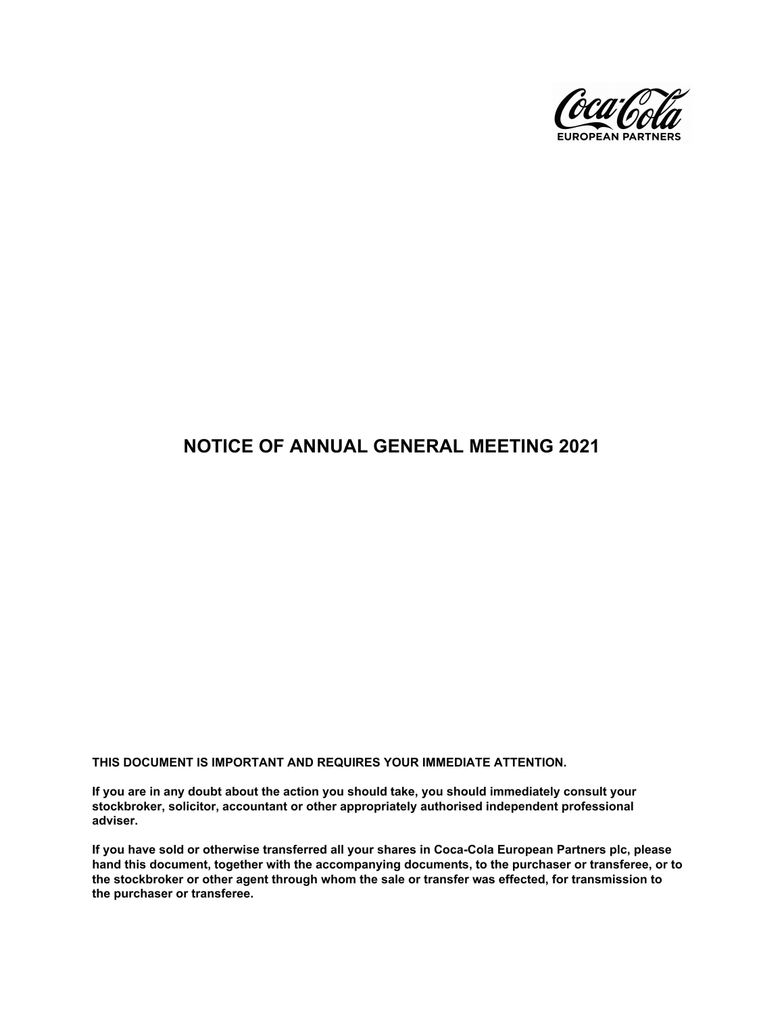

# **NOTICE OF ANNUAL GENERAL MEETING 2021**

**THIS DOCUMENT IS IMPORTANT AND REQUIRES YOUR IMMEDIATE ATTENTION.**

**If you are in any doubt about the action you should take, you should immediately consult your stockbroker, solicitor, accountant or other appropriately authorised independent professional adviser.**

**If you have sold or otherwise transferred all your shares in Coca-Cola European Partners plc, please hand this document, together with the accompanying documents, to the purchaser or transferee, or to the stockbroker or other agent through whom the sale or transfer was effected, for transmission to the purchaser or transferee.**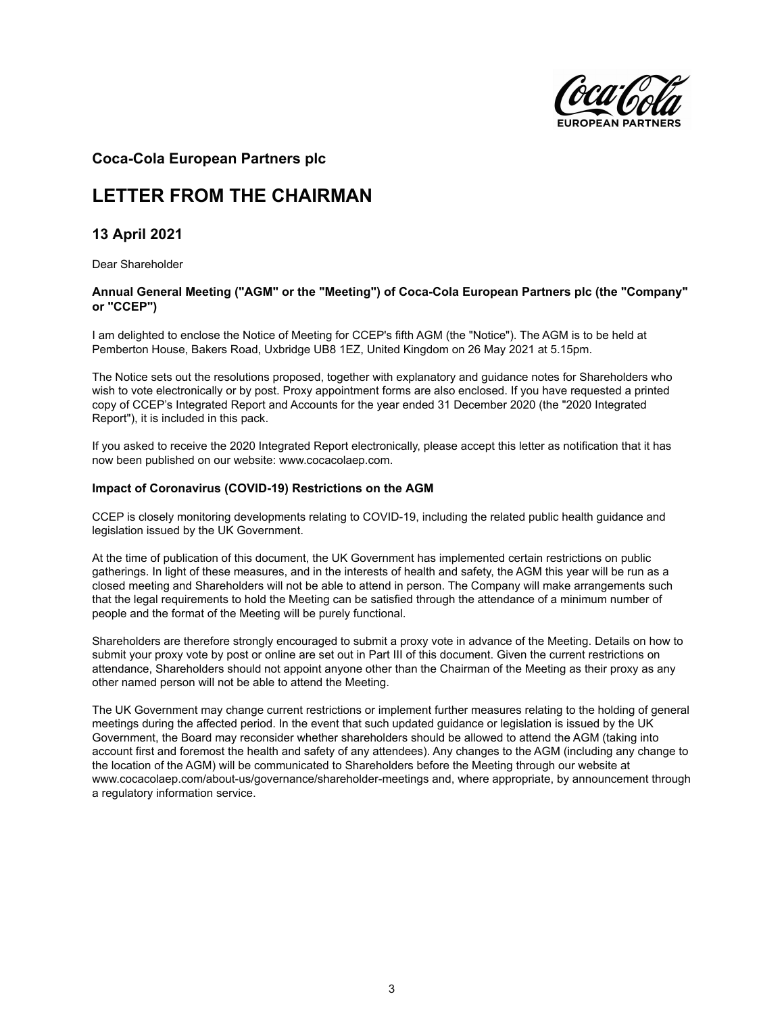

# **Coca-Cola European Partners plc**

# **LETTER FROM THE CHAIRMAN**

# **13 April 2021**

Dear Shareholder

## **Annual General Meeting ("AGM" or the "Meeting") of Coca-Cola European Partners plc (the "Company" or "CCEP")**

I am delighted to enclose the Notice of Meeting for CCEP's fifth AGM (the "Notice"). The AGM is to be held at Pemberton House, Bakers Road, Uxbridge UB8 1EZ, United Kingdom on 26 May 2021 at 5.15pm.

The Notice sets out the resolutions proposed, together with explanatory and guidance notes for Shareholders who wish to vote electronically or by post. Proxy appointment forms are also enclosed. If you have requested a printed copy of CCEP's Integrated Report and Accounts for the year ended 31 December 2020 (the "2020 Integrated Report"), it is included in this pack.

If you asked to receive the 2020 Integrated Report electronically, please accept this letter as notification that it has now been published on our website: www.cocacolaep.com.

## **Impact of Coronavirus (COVID-19) Restrictions on the AGM**

CCEP is closely monitoring developments relating to COVID-19, including the related public health guidance and legislation issued by the UK Government.

At the time of publication of this document, the UK Government has implemented certain restrictions on public gatherings. In light of these measures, and in the interests of health and safety, the AGM this year will be run as a closed meeting and Shareholders will not be able to attend in person. The Company will make arrangements such that the legal requirements to hold the Meeting can be satisfied through the attendance of a minimum number of people and the format of the Meeting will be purely functional.

Shareholders are therefore strongly encouraged to submit a proxy vote in advance of the Meeting. Details on how to submit your proxy vote by post or online are set out in Part III of this document. Given the current restrictions on attendance, Shareholders should not appoint anyone other than the Chairman of the Meeting as their proxy as any other named person will not be able to attend the Meeting.

The UK Government may change current restrictions or implement further measures relating to the holding of general meetings during the affected period. In the event that such updated guidance or legislation is issued by the UK Government, the Board may reconsider whether shareholders should be allowed to attend the AGM (taking into account first and foremost the health and safety of any attendees). Any changes to the AGM (including any change to the location of the AGM) will be communicated to Shareholders before the Meeting through our website at www.cocacolaep.com/about-us/governance/shareholder-meetings and, where appropriate, by announcement through a regulatory information service.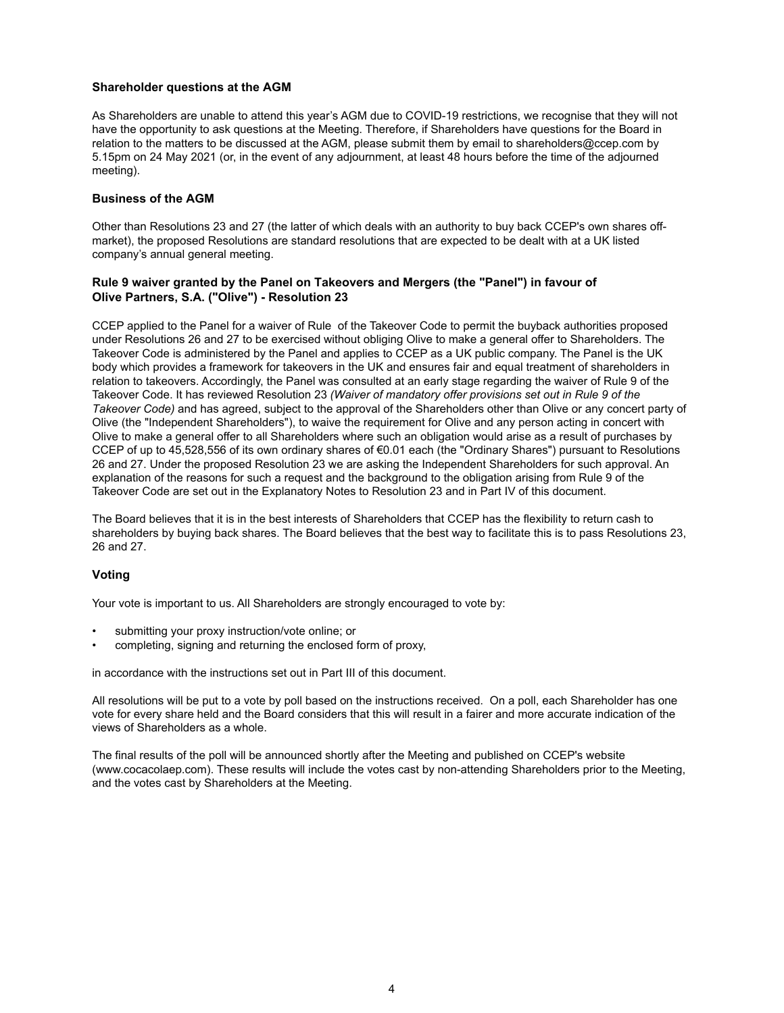### **Shareholder questions at the AGM**

As Shareholders are unable to attend this year's AGM due to COVID-19 restrictions, we recognise that they will not have the opportunity to ask questions at the Meeting. Therefore, if Shareholders have questions for the Board in relation to the matters to be discussed at the AGM, please submit them by email to shareholders@ccep.com by 5.15pm on 24 May 2021 (or, in the event of any adjournment, at least 48 hours before the time of the adjourned meeting).

### **Business of the AGM**

Other than Resolutions 23 and 27 (the latter of which deals with an authority to buy back CCEP's own shares offmarket), the proposed Resolutions are standard resolutions that are expected to be dealt with at a UK listed company's annual general meeting.

#### **Rule 9 waiver granted by the Panel on Takeovers and Mergers (the "Panel") in favour of Olive Partners, S.A. ("Olive") - Resolution 23**

CCEP applied to the Panel for a waiver of Rule of the Takeover Code to permit the buyback authorities proposed under Resolutions 26 and 27 to be exercised without obliging Olive to make a general offer to Shareholders. The Takeover Code is administered by the Panel and applies to CCEP as a UK public company. The Panel is the UK body which provides a framework for takeovers in the UK and ensures fair and equal treatment of shareholders in relation to takeovers. Accordingly, the Panel was consulted at an early stage regarding the waiver of Rule 9 of the Takeover Code. It has reviewed Resolution 23 *(Waiver of mandatory offer provisions set out in Rule 9 of the Takeover Code)* and has agreed, subject to the approval of the Shareholders other than Olive or any concert party of Olive (the "Independent Shareholders"), to waive the requirement for Olive and any person acting in concert with Olive to make a general offer to all Shareholders where such an obligation would arise as a result of purchases by CCEP of up to 45,528,556 of its own ordinary shares of €0.01 each (the "Ordinary Shares") pursuant to Resolutions 26 and 27. Under the proposed Resolution 23 we are asking the Independent Shareholders for such approval. An explanation of the reasons for such a request and the background to the obligation arising from Rule 9 of the Takeover Code are set out in the Explanatory Notes to Resolution 23 and in Part IV of this document.

The Board believes that it is in the best interests of Shareholders that CCEP has the flexibility to return cash to shareholders by buying back shares. The Board believes that the best way to facilitate this is to pass Resolutions 23, 26 and 27.

#### **Voting**

Your vote is important to us. All Shareholders are strongly encouraged to vote by:

- submitting your proxy instruction/vote online; or
- completing, signing and returning the enclosed form of proxy,

in accordance with the instructions set out in Part III of this document.

All resolutions will be put to a vote by poll based on the instructions received. On a poll, each Shareholder has one vote for every share held and the Board considers that this will result in a fairer and more accurate indication of the views of Shareholders as a whole.

The final results of the poll will be announced shortly after the Meeting and published on CCEP's website (www.cocacolaep.com). These results will include the votes cast by non-attending Shareholders prior to the Meeting, and the votes cast by Shareholders at the Meeting.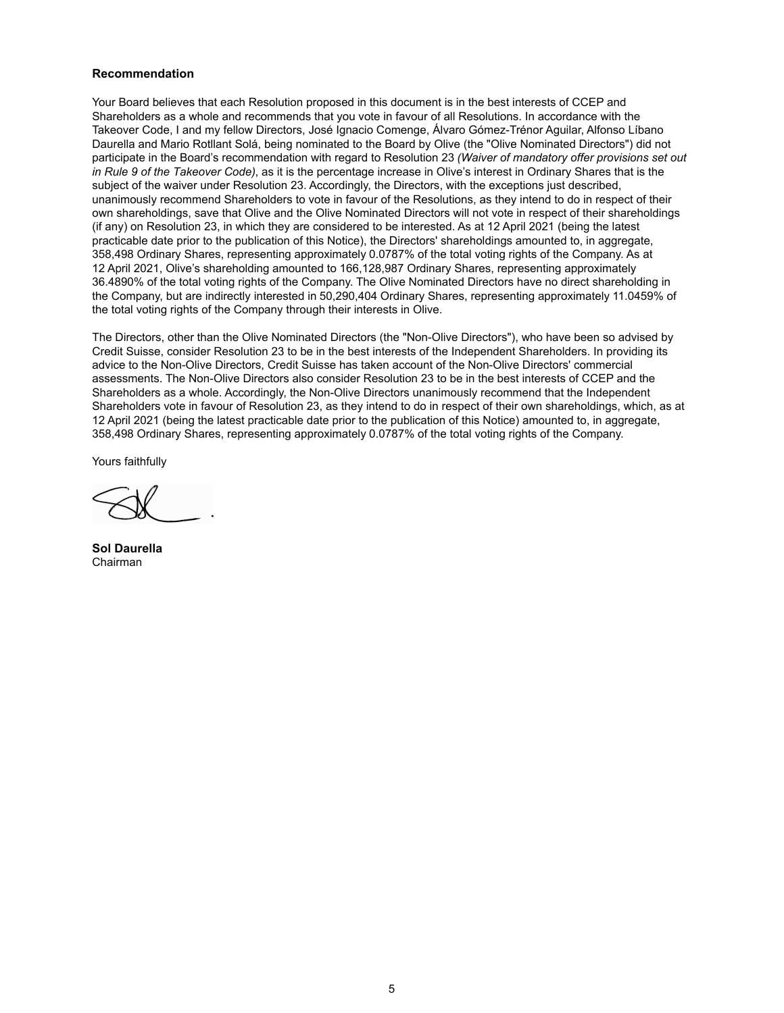### **Recommendation**

Your Board believes that each Resolution proposed in this document is in the best interests of CCEP and Shareholders as a whole and recommends that you vote in favour of all Resolutions. In accordance with the Takeover Code, I and my fellow Directors, José Ignacio Comenge, Álvaro Gómez-Trénor Aguilar, Alfonso Líbano Daurella and Mario Rotllant Solá, being nominated to the Board by Olive (the "Olive Nominated Directors") did not participate in the Board's recommendation with regard to Resolution 23 *(Waiver of mandatory offer provisions set out in Rule 9 of the Takeover Code)*, as it is the percentage increase in Olive's interest in Ordinary Shares that is the subject of the waiver under Resolution 23. Accordingly, the Directors, with the exceptions just described, unanimously recommend Shareholders to vote in favour of the Resolutions, as they intend to do in respect of their own shareholdings, save that Olive and the Olive Nominated Directors will not vote in respect of their shareholdings (if any) on Resolution 23, in which they are considered to be interested. As at 12 April 2021 (being the latest practicable date prior to the publication of this Notice), the Directors' shareholdings amounted to, in aggregate, 358,498 Ordinary Shares, representing approximately 0.0787% of the total voting rights of the Company. As at 12 April 2021, Olive's shareholding amounted to 166,128,987 Ordinary Shares, representing approximately 36.4890% of the total voting rights of the Company. The Olive Nominated Directors have no direct shareholding in the Company, but are indirectly interested in 50,290,404 Ordinary Shares, representing approximately 11.0459% of the total voting rights of the Company through their interests in Olive.

The Directors, other than the Olive Nominated Directors (the "Non-Olive Directors"), who have been so advised by Credit Suisse, consider Resolution 23 to be in the best interests of the Independent Shareholders. In providing its advice to the Non-Olive Directors, Credit Suisse has taken account of the Non-Olive Directors' commercial assessments. The Non-Olive Directors also consider Resolution 23 to be in the best interests of CCEP and the Shareholders as a whole. Accordingly, the Non-Olive Directors unanimously recommend that the Independent Shareholders vote in favour of Resolution 23, as they intend to do in respect of their own shareholdings, which, as at 12 April 2021 (being the latest practicable date prior to the publication of this Notice) amounted to, in aggregate, 358,498 Ordinary Shares, representing approximately 0.0787% of the total voting rights of the Company.

Yours faithfully

**Sol Daurella**  Chairman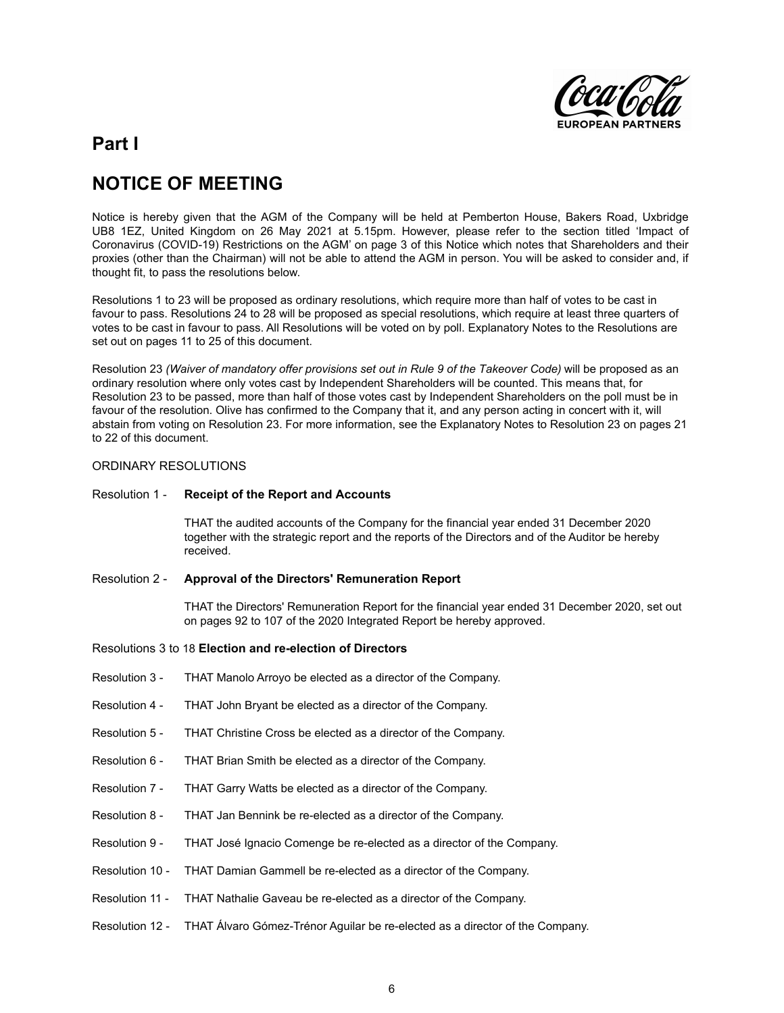![](_page_5_Picture_0.jpeg)

# **Part I**

# **NOTICE OF MEETING**

Notice is hereby given that the AGM of the Company will be held at Pemberton House, Bakers Road, Uxbridge UB8 1EZ, United Kingdom on 26 May 2021 at 5.15pm. However, please refer to the section titled 'Impact of Coronavirus (COVID-19) Restrictions on the AGM' on page 3 of this Notice which notes that Shareholders and their proxies (other than the Chairman) will not be able to attend the AGM in person. You will be asked to consider and, if thought fit, to pass the resolutions below.

Resolutions 1 to 23 will be proposed as ordinary resolutions, which require more than half of votes to be cast in favour to pass. Resolutions 24 to 28 will be proposed as special resolutions, which require at least three quarters of votes to be cast in favour to pass. All Resolutions will be voted on by poll. Explanatory Notes to the Resolutions are set out on pages 11 to 25 of this document.

Resolution 23 *(Waiver of mandatory offer provisions set out in Rule 9 of the Takeover Code)* will be proposed as an ordinary resolution where only votes cast by Independent Shareholders will be counted. This means that, for Resolution 23 to be passed, more than half of those votes cast by Independent Shareholders on the poll must be in favour of the resolution. Olive has confirmed to the Company that it, and any person acting in concert with it, will abstain from voting on Resolution 23. For more information, see the Explanatory Notes to Resolution 23 on pages 21 to 22 of this document.

#### ORDINARY RESOLUTIONS

## Resolution 1 - **Receipt of the Report and Accounts**

THAT the audited accounts of the Company for the financial year ended 31 December 2020 together with the strategic report and the reports of the Directors and of the Auditor be hereby received.

#### Resolution 2 - **Approval of the Directors' Remuneration Report**

THAT the Directors' Remuneration Report for the financial year ended 31 December 2020, set out on pages 92 to 107 of the 2020 Integrated Report be hereby approved.

### Resolutions 3 to 18 **Election and re-election of Directors**

- Resolution 3 THAT Manolo Arroyo be elected as a director of the Company.
- Resolution 4 THAT John Bryant be elected as a director of the Company.
- Resolution 5 THAT Christine Cross be elected as a director of the Company.
- Resolution 6 THAT Brian Smith be elected as a director of the Company.
- Resolution 7 THAT Garry Watts be elected as a director of the Company.
- Resolution 8 THAT Jan Bennink be re-elected as a director of the Company.
- Resolution 9 THAT José Ignacio Comenge be re-elected as a director of the Company.
- Resolution 10 THAT Damian Gammell be re-elected as a director of the Company.
- Resolution 11 THAT Nathalie Gaveau be re-elected as a director of the Company.
- Resolution 12 THAT Álvaro Gómez-Trénor Aguilar be re-elected as a director of the Company.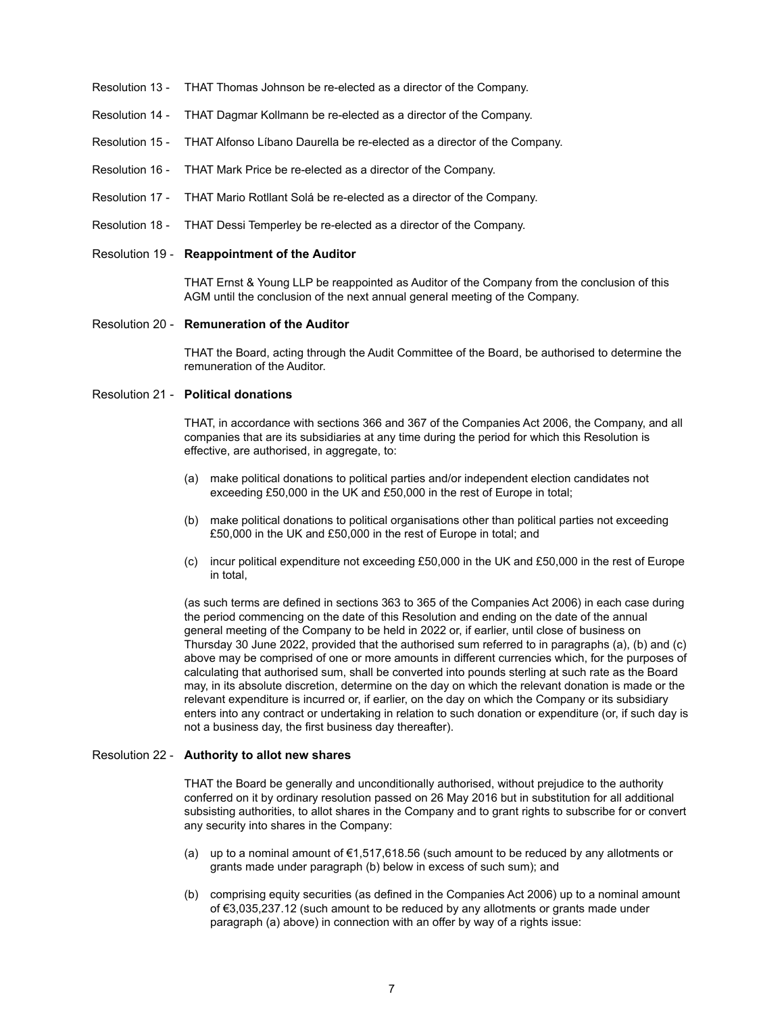- Resolution 13 THAT Thomas Johnson be re-elected as a director of the Company.
- Resolution 14 THAT Dagmar Kollmann be re-elected as a director of the Company.
- Resolution 15 THAT Alfonso Líbano Daurella be re-elected as a director of the Company.
- Resolution 16 THAT Mark Price be re-elected as a director of the Company.
- Resolution 17 THAT Mario Rotllant Solá be re-elected as a director of the Company.
- Resolution 18 THAT Dessi Temperley be re-elected as a director of the Company.

#### Resolution 19 - **Reappointment of the Auditor**

THAT Ernst & Young LLP be reappointed as Auditor of the Company from the conclusion of this AGM until the conclusion of the next annual general meeting of the Company.

#### Resolution 20 - **Remuneration of the Auditor**

THAT the Board, acting through the Audit Committee of the Board, be authorised to determine the remuneration of the Auditor.

## Resolution 21 - **Political donations**

THAT, in accordance with sections 366 and 367 of the Companies Act 2006, the Company, and all companies that are its subsidiaries at any time during the period for which this Resolution is effective, are authorised, in aggregate, to:

- (a) make political donations to political parties and/or independent election candidates not exceeding £50,000 in the UK and £50,000 in the rest of Europe in total;
- (b) make political donations to political organisations other than political parties not exceeding £50,000 in the UK and £50,000 in the rest of Europe in total; and
- (c) incur political expenditure not exceeding £50,000 in the UK and £50,000 in the rest of Europe in total,

(as such terms are defined in sections 363 to 365 of the Companies Act 2006) in each case during the period commencing on the date of this Resolution and ending on the date of the annual general meeting of the Company to be held in 2022 or, if earlier, until close of business on Thursday 30 June 2022, provided that the authorised sum referred to in paragraphs (a), (b) and (c) above may be comprised of one or more amounts in different currencies which, for the purposes of calculating that authorised sum, shall be converted into pounds sterling at such rate as the Board may, in its absolute discretion, determine on the day on which the relevant donation is made or the relevant expenditure is incurred or, if earlier, on the day on which the Company or its subsidiary enters into any contract or undertaking in relation to such donation or expenditure (or, if such day is not a business day, the first business day thereafter).

#### Resolution 22 - **Authority to allot new shares**

THAT the Board be generally and unconditionally authorised, without prejudice to the authority conferred on it by ordinary resolution passed on 26 May 2016 but in substitution for all additional subsisting authorities, to allot shares in the Company and to grant rights to subscribe for or convert any security into shares in the Company:

- (a) up to a nominal amount of €1,517,618.56 (such amount to be reduced by any allotments or grants made under paragraph (b) below in excess of such sum); and
- (b) comprising equity securities (as defined in the Companies Act 2006) up to a nominal amount of €3,035,237.12 (such amount to be reduced by any allotments or grants made under paragraph (a) above) in connection with an offer by way of a rights issue: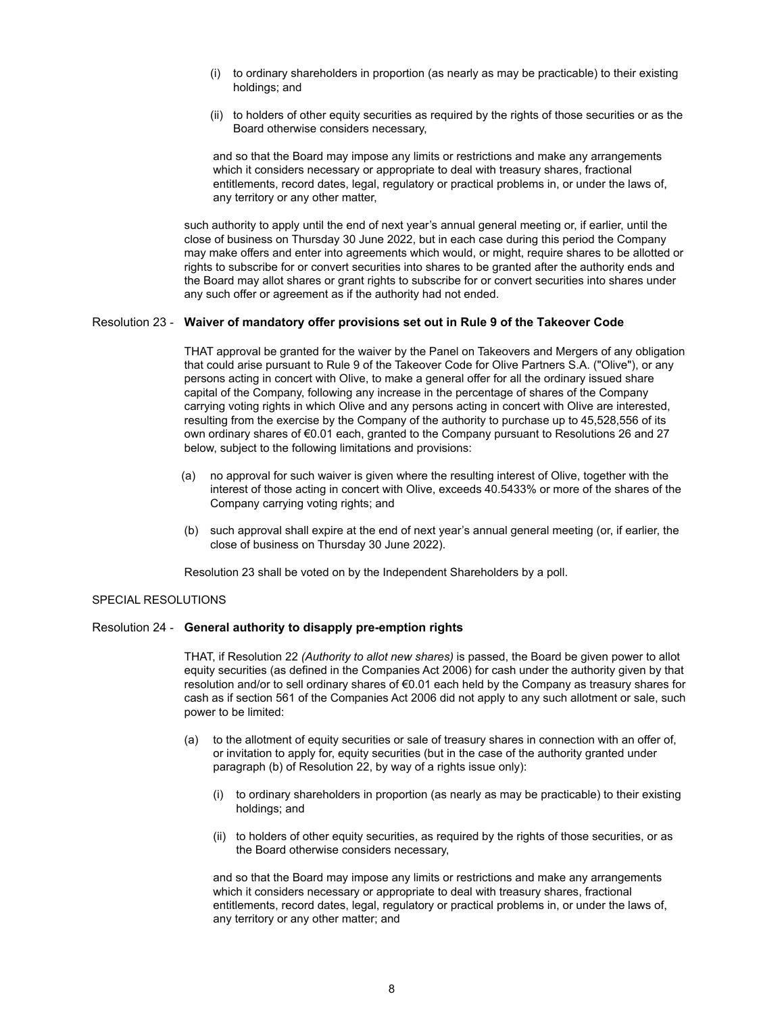- (i) to ordinary shareholders in proportion (as nearly as may be practicable) to their existing holdings; and
- (ii) to holders of other equity securities as required by the rights of those securities or as the Board otherwise considers necessary,

and so that the Board may impose any limits or restrictions and make any arrangements which it considers necessary or appropriate to deal with treasury shares, fractional entitlements, record dates, legal, regulatory or practical problems in, or under the laws of, any territory or any other matter,

such authority to apply until the end of next year's annual general meeting or, if earlier, until the close of business on Thursday 30 June 2022, but in each case during this period the Company may make offers and enter into agreements which would, or might, require shares to be allotted or rights to subscribe for or convert securities into shares to be granted after the authority ends and the Board may allot shares or grant rights to subscribe for or convert securities into shares under any such offer or agreement as if the authority had not ended.

#### Resolution 23 - **Waiver of mandatory offer provisions set out in Rule 9 of the Takeover Code**

THAT approval be granted for the waiver by the Panel on Takeovers and Mergers of any obligation that could arise pursuant to Rule 9 of the Takeover Code for Olive Partners S.A. ("Olive"), or any persons acting in concert with Olive, to make a general offer for all the ordinary issued share capital of the Company, following any increase in the percentage of shares of the Company carrying voting rights in which Olive and any persons acting in concert with Olive are interested, resulting from the exercise by the Company of the authority to purchase up to 45,528,556 of its own ordinary shares of €0.01 each, granted to the Company pursuant to Resolutions 26 and 27 below, subject to the following limitations and provisions:

- (a) no approval for such waiver is given where the resulting interest of Olive, together with the interest of those acting in concert with Olive, exceeds 40.5433% or more of the shares of the Company carrying voting rights; and
- (b) such approval shall expire at the end of next year's annual general meeting (or, if earlier, the close of business on Thursday 30 June 2022).

Resolution 23 shall be voted on by the Independent Shareholders by a poll.

## SPECIAL RESOLUTIONS

#### Resolution 24 - **General authority to disapply pre-emption rights**

THAT, if Resolution 22 *(Authority to allot new shares)* is passed, the Board be given power to allot equity securities (as defined in the Companies Act 2006) for cash under the authority given by that resolution and/or to sell ordinary shares of €0.01 each held by the Company as treasury shares for cash as if section 561 of the Companies Act 2006 did not apply to any such allotment or sale, such power to be limited:

- (a) to the allotment of equity securities or sale of treasury shares in connection with an offer of, or invitation to apply for, equity securities (but in the case of the authority granted under paragraph (b) of Resolution 22, by way of a rights issue only):
	- (i) to ordinary shareholders in proportion (as nearly as may be practicable) to their existing holdings; and
	- (ii) to holders of other equity securities, as required by the rights of those securities, or as the Board otherwise considers necessary,

and so that the Board may impose any limits or restrictions and make any arrangements which it considers necessary or appropriate to deal with treasury shares, fractional entitlements, record dates, legal, regulatory or practical problems in, or under the laws of, any territory or any other matter; and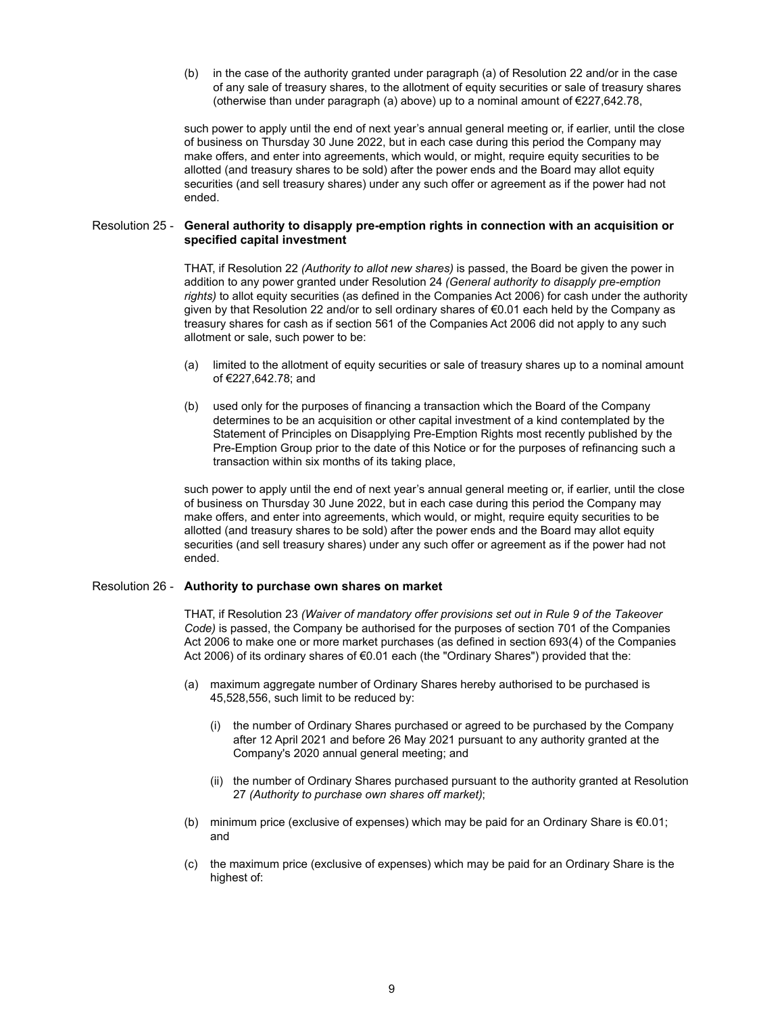(b) in the case of the authority granted under paragraph (a) of Resolution 22 and/or in the case of any sale of treasury shares, to the allotment of equity securities or sale of treasury shares (otherwise than under paragraph (a) above) up to a nominal amount of  $\epsilon$ 227,642.78,

such power to apply until the end of next year's annual general meeting or, if earlier, until the close of business on Thursday 30 June 2022, but in each case during this period the Company may make offers, and enter into agreements, which would, or might, require equity securities to be allotted (and treasury shares to be sold) after the power ends and the Board may allot equity securities (and sell treasury shares) under any such offer or agreement as if the power had not ended.

#### Resolution 25 - **General authority to disapply pre-emption rights in connection with an acquisition or specified capital investment**

THAT, if Resolution 22 *(Authority to allot new shares)* is passed, the Board be given the power in addition to any power granted under Resolution 24 *(General authority to disapply pre-emption rights)* to allot equity securities (as defined in the Companies Act 2006) for cash under the authority given by that Resolution 22 and/or to sell ordinary shares of €0.01 each held by the Company as treasury shares for cash as if section 561 of the Companies Act 2006 did not apply to any such allotment or sale, such power to be:

- (a) limited to the allotment of equity securities or sale of treasury shares up to a nominal amount of €227,642.78; and
- (b) used only for the purposes of financing a transaction which the Board of the Company determines to be an acquisition or other capital investment of a kind contemplated by the Statement of Principles on Disapplying Pre-Emption Rights most recently published by the Pre-Emption Group prior to the date of this Notice or for the purposes of refinancing such a transaction within six months of its taking place,

such power to apply until the end of next year's annual general meeting or, if earlier, until the close of business on Thursday 30 June 2022, but in each case during this period the Company may make offers, and enter into agreements, which would, or might, require equity securities to be allotted (and treasury shares to be sold) after the power ends and the Board may allot equity securities (and sell treasury shares) under any such offer or agreement as if the power had not ended.

#### Resolution 26 - **Authority to purchase own shares on market**

THAT, if Resolution 23 *(Waiver of mandatory offer provisions set out in Rule 9 of the Takeover Code)* is passed, the Company be authorised for the purposes of section 701 of the Companies Act 2006 to make one or more market purchases (as defined in section 693(4) of the Companies Act 2006) of its ordinary shares of €0.01 each (the "Ordinary Shares") provided that the:

- (a) maximum aggregate number of Ordinary Shares hereby authorised to be purchased is 45,528,556, such limit to be reduced by:
	- (i) the number of Ordinary Shares purchased or agreed to be purchased by the Company after 12 April 2021 and before 26 May 2021 pursuant to any authority granted at the Company's 2020 annual general meeting; and
	- (ii) the number of Ordinary Shares purchased pursuant to the authority granted at Resolution 27 *(Authority to purchase own shares off market)*;
- (b) minimum price (exclusive of expenses) which may be paid for an Ordinary Share is €0.01; and
- (c) the maximum price (exclusive of expenses) which may be paid for an Ordinary Share is the highest of: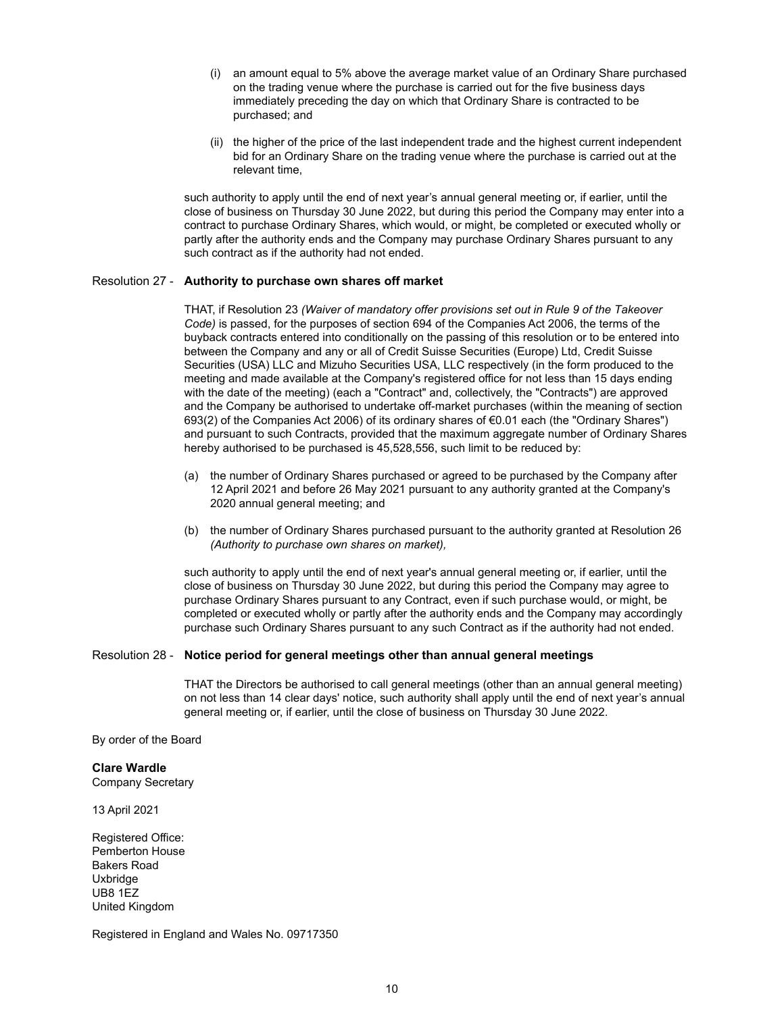- (i) an amount equal to 5% above the average market value of an Ordinary Share purchased on the trading venue where the purchase is carried out for the five business days immediately preceding the day on which that Ordinary Share is contracted to be purchased; and
- (ii) the higher of the price of the last independent trade and the highest current independent bid for an Ordinary Share on the trading venue where the purchase is carried out at the relevant time,

such authority to apply until the end of next year's annual general meeting or, if earlier, until the close of business on Thursday 30 June 2022, but during this period the Company may enter into a contract to purchase Ordinary Shares, which would, or might, be completed or executed wholly or partly after the authority ends and the Company may purchase Ordinary Shares pursuant to any such contract as if the authority had not ended.

### Resolution 27 - **Authority to purchase own shares off market**

THAT, if Resolution 23 *(Waiver of mandatory offer provisions set out in Rule 9 of the Takeover Code)* is passed, for the purposes of section 694 of the Companies Act 2006, the terms of the buyback contracts entered into conditionally on the passing of this resolution or to be entered into between the Company and any or all of Credit Suisse Securities (Europe) Ltd, Credit Suisse Securities (USA) LLC and Mizuho Securities USA, LLC respectively (in the form produced to the meeting and made available at the Company's registered office for not less than 15 days ending with the date of the meeting) (each a "Contract" and, collectively, the "Contracts") are approved and the Company be authorised to undertake off-market purchases (within the meaning of section 693(2) of the Companies Act 2006) of its ordinary shares of €0.01 each (the "Ordinary Shares") and pursuant to such Contracts, provided that the maximum aggregate number of Ordinary Shares hereby authorised to be purchased is 45,528,556, such limit to be reduced by:

- (a) the number of Ordinary Shares purchased or agreed to be purchased by the Company after 12 April 2021 and before 26 May 2021 pursuant to any authority granted at the Company's 2020 annual general meeting; and
- (b) the number of Ordinary Shares purchased pursuant to the authority granted at Resolution 26 *(Authority to purchase own shares on market),*

such authority to apply until the end of next year's annual general meeting or, if earlier, until the close of business on Thursday 30 June 2022, but during this period the Company may agree to purchase Ordinary Shares pursuant to any Contract, even if such purchase would, or might, be completed or executed wholly or partly after the authority ends and the Company may accordingly purchase such Ordinary Shares pursuant to any such Contract as if the authority had not ended.

#### Resolution 28 - **Notice period for general meetings other than annual general meetings**

THAT the Directors be authorised to call general meetings (other than an annual general meeting) on not less than 14 clear days' notice, such authority shall apply until the end of next year's annual general meeting or, if earlier, until the close of business on Thursday 30 June 2022.

By order of the Board

## **Clare Wardle**

Company Secretary

13 April 2021

Registered Office: Pemberton House Bakers Road Uxbridge UB8 1EZ United Kingdom

Registered in England and Wales No. 09717350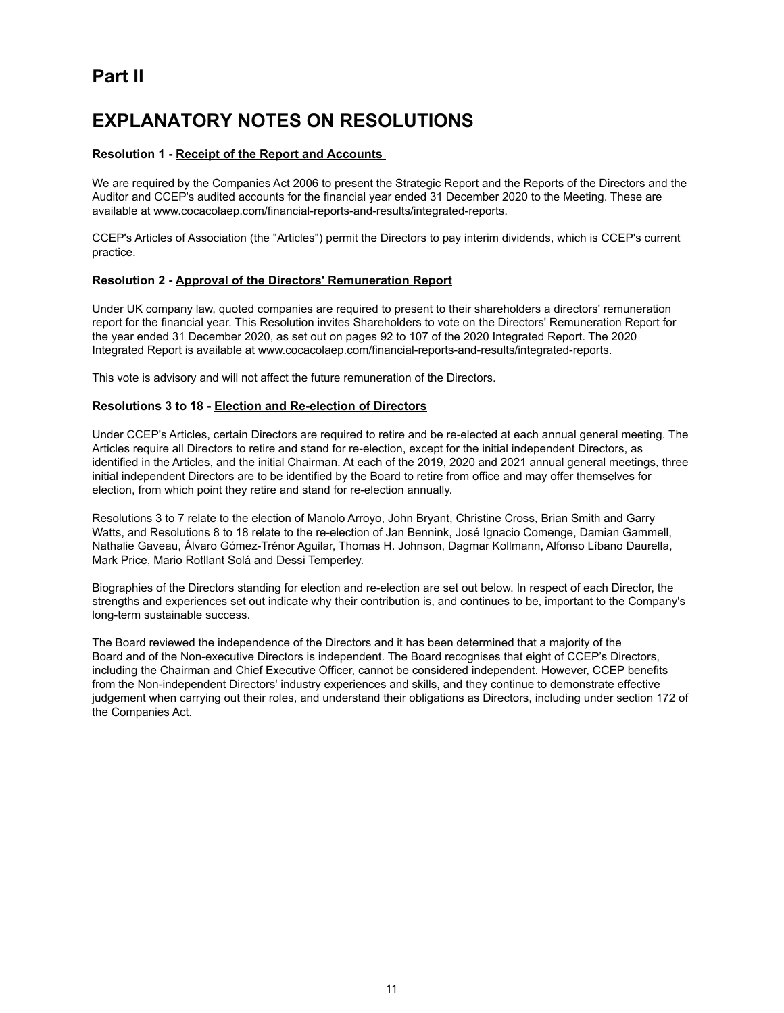# **Part II**

# **EXPLANATORY NOTES ON RESOLUTIONS**

## **Resolution 1 - Receipt of the Report and Accounts**

We are required by the Companies Act 2006 to present the Strategic Report and the Reports of the Directors and the Auditor and CCEP's audited accounts for the financial year ended 31 December 2020 to the Meeting. These are available at www.cocacolaep.com/financial-reports-and-results/integrated-reports.

CCEP's Articles of Association (the "Articles") permit the Directors to pay interim dividends, which is CCEP's current practice.

## **Resolution 2 - Approval of the Directors' Remuneration Report**

Under UK company law, quoted companies are required to present to their shareholders a directors' remuneration report for the financial year. This Resolution invites Shareholders to vote on the Directors' Remuneration Report for the year ended 31 December 2020, as set out on pages 92 to 107 of the 2020 Integrated Report. The 2020 Integrated Report is available at www.cocacolaep.com/financial-reports-and-results/integrated-reports.

This vote is advisory and will not affect the future remuneration of the Directors.

## **Resolutions 3 to 18 - Election and Re-election of Directors**

Under CCEP's Articles, certain Directors are required to retire and be re-elected at each annual general meeting. The Articles require all Directors to retire and stand for re-election, except for the initial independent Directors, as identified in the Articles, and the initial Chairman. At each of the 2019, 2020 and 2021 annual general meetings, three initial independent Directors are to be identified by the Board to retire from office and may offer themselves for election, from which point they retire and stand for re-election annually.

Resolutions 3 to 7 relate to the election of Manolo Arroyo, John Bryant, Christine Cross, Brian Smith and Garry Watts, and Resolutions 8 to 18 relate to the re-election of Jan Bennink, José Ignacio Comenge, Damian Gammell, Nathalie Gaveau, Álvaro Gómez-Trénor Aguilar, Thomas H. Johnson, Dagmar Kollmann, Alfonso Líbano Daurella, Mark Price, Mario Rotllant Solá and Dessi Temperley.

Biographies of the Directors standing for election and re-election are set out below. In respect of each Director, the strengths and experiences set out indicate why their contribution is, and continues to be, important to the Company's long-term sustainable success.

The Board reviewed the independence of the Directors and it has been determined that a majority of the Board and of the Non-executive Directors is independent. The Board recognises that eight of CCEP's Directors, including the Chairman and Chief Executive Officer, cannot be considered independent. However, CCEP benefits from the Non-independent Directors' industry experiences and skills, and they continue to demonstrate effective judgement when carrying out their roles, and understand their obligations as Directors, including under section 172 of the Companies Act.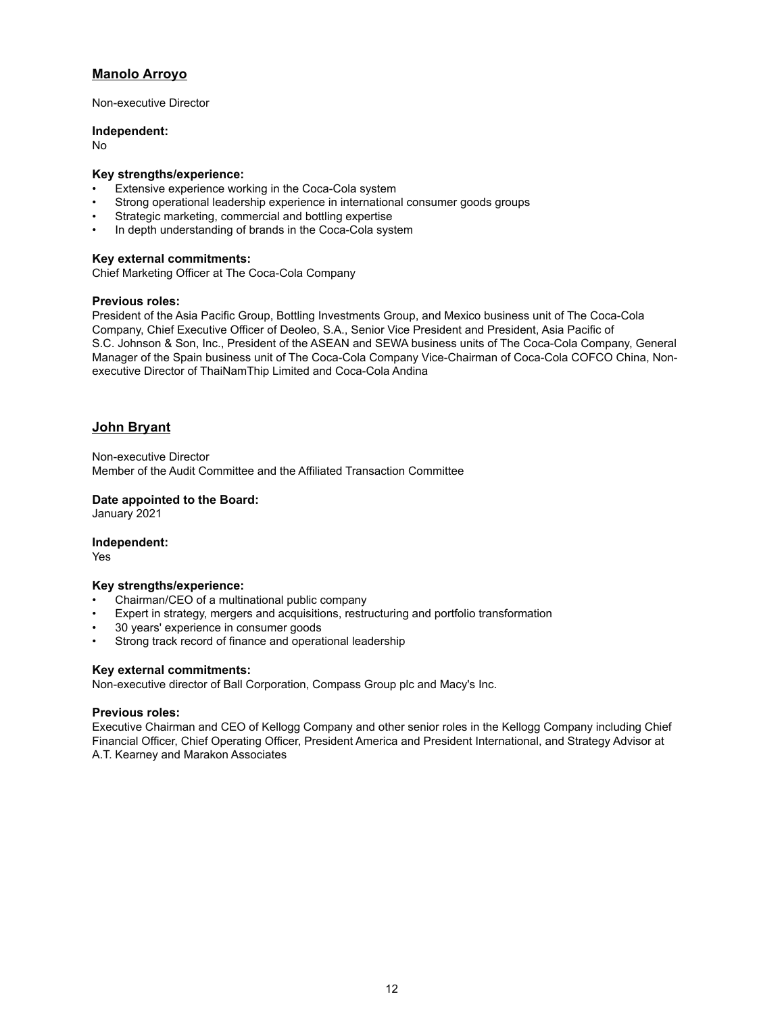# **Manolo Arroyo**

Non-executive Director

#### **Independent:**

No

## **Key strengths/experience:**

- Extensive experience working in the Coca-Cola system
- Strong operational leadership experience in international consumer goods groups
- Strategic marketing, commercial and bottling expertise
- In depth understanding of brands in the Coca-Cola system

## **Key external commitments:**

Chief Marketing Officer at The Coca-Cola Company

## **Previous roles:**

President of the Asia Pacific Group, Bottling Investments Group, and Mexico business unit of The Coca-Cola Company, Chief Executive Officer of Deoleo, S.A., Senior Vice President and President, Asia Pacific of S.C. Johnson & Son, Inc., President of the ASEAN and SEWA business units of The Coca-Cola Company, General Manager of the Spain business unit of The Coca-Cola Company Vice-Chairman of Coca-Cola COFCO China, Nonexecutive Director of ThaiNamThip Limited and Coca-Cola Andina

## **John Bryant**

Non-executive Director Member of the Audit Committee and the Affiliated Transaction Committee

## **Date appointed to the Board:**

January 2021

#### **Independent:**

Yes

#### **Key strengths/experience:**

- Chairman/CEO of a multinational public company
- Expert in strategy, mergers and acquisitions, restructuring and portfolio transformation
- 30 years' experience in consumer goods
- Strong track record of finance and operational leadership

## **Key external commitments:**

Non-executive director of Ball Corporation, Compass Group plc and Macy's Inc.

### **Previous roles:**

Executive Chairman and CEO of Kellogg Company and other senior roles in the Kellogg Company including Chief Financial Officer, Chief Operating Officer, President America and President International, and Strategy Advisor at A.T. Kearney and Marakon Associates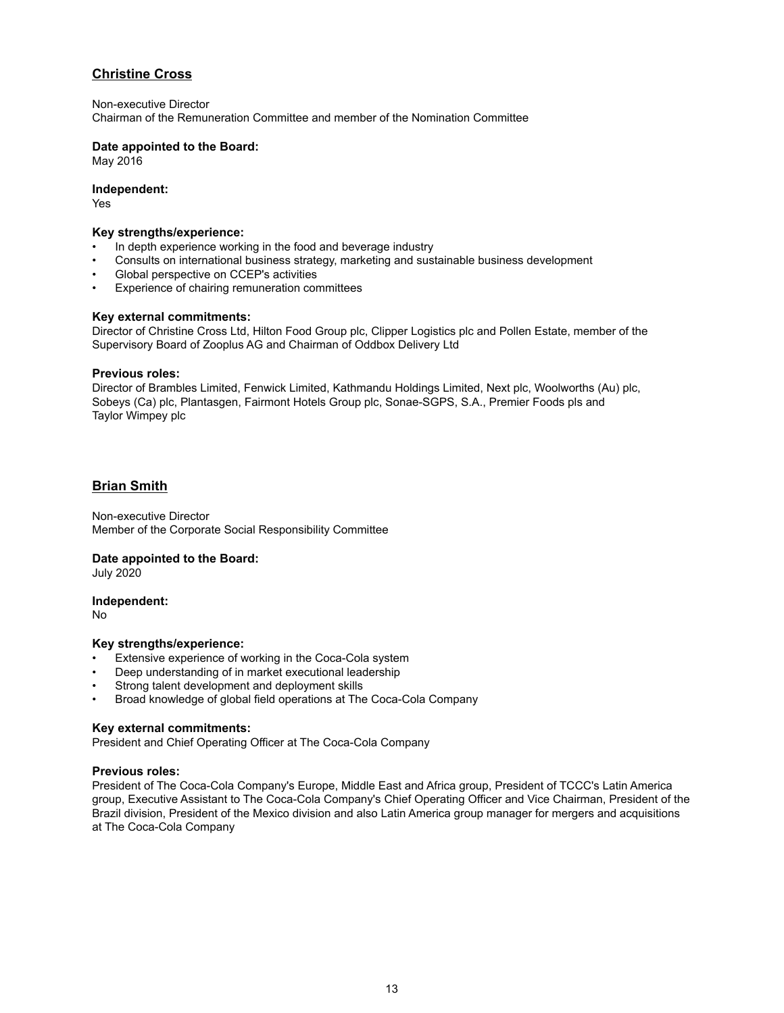# **Christine Cross**

Non-executive Director

Chairman of the Remuneration Committee and member of the Nomination Committee

## **Date appointed to the Board:**

May 2016

### **Independent:**

Yes

#### **Key strengths/experience:**

- In depth experience working in the food and beverage industry
- Consults on international business strategy, marketing and sustainable business development
- Global perspective on CCEP's activities
- Experience of chairing remuneration committees

#### **Key external commitments:**

Director of Christine Cross Ltd, Hilton Food Group plc, Clipper Logistics plc and Pollen Estate, member of the Supervisory Board of Zooplus AG and Chairman of Oddbox Delivery Ltd

#### **Previous roles:**

Director of Brambles Limited, Fenwick Limited, Kathmandu Holdings Limited, Next plc, Woolworths (Au) plc, Sobeys (Ca) plc, Plantasgen, Fairmont Hotels Group plc, Sonae-SGPS, S.A., Premier Foods pls and Taylor Wimpey plc

## **Brian Smith**

Non-executive Director Member of the Corporate Social Responsibility Committee

#### **Date appointed to the Board:**

July 2020

**Independent:**

No

#### **Key strengths/experience:**

- Extensive experience of working in the Coca-Cola system
- Deep understanding of in market executional leadership
- Strong talent development and deployment skills
- Broad knowledge of global field operations at The Coca-Cola Company

#### **Key external commitments:**

President and Chief Operating Officer at The Coca-Cola Company

#### **Previous roles:**

President of The Coca-Cola Company's Europe, Middle East and Africa group, President of TCCC's Latin America group, Executive Assistant to The Coca-Cola Company's Chief Operating Officer and Vice Chairman, President of the Brazil division, President of the Mexico division and also Latin America group manager for mergers and acquisitions at The Coca-Cola Company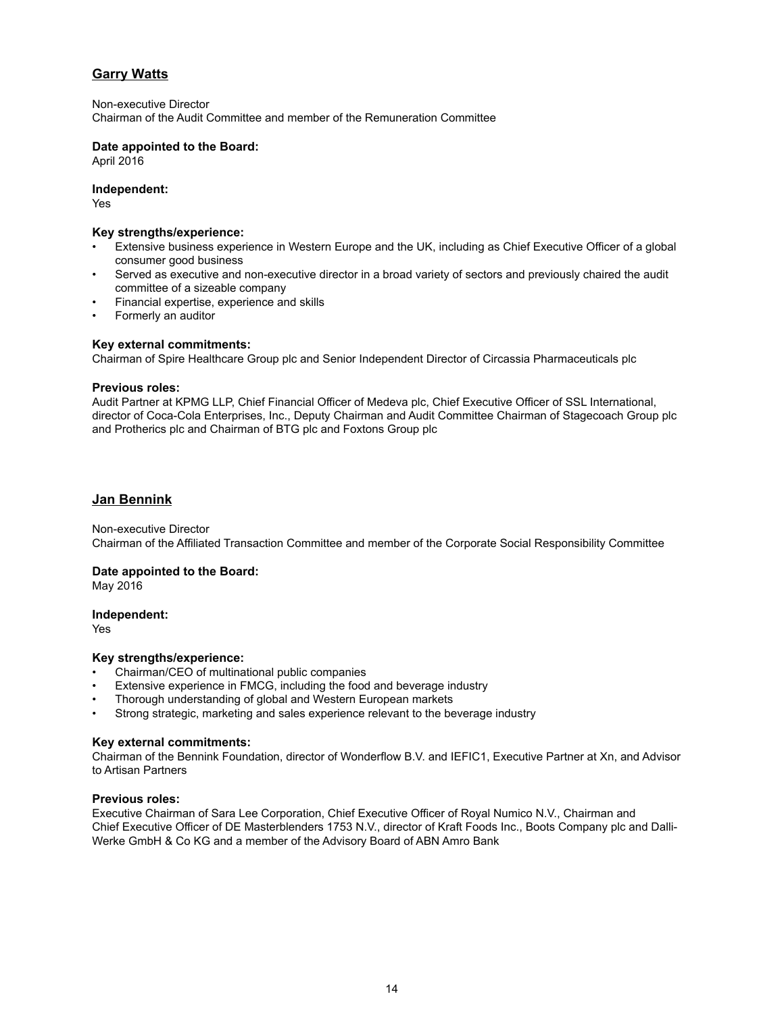# **Garry Watts**

Non-executive Director Chairman of the Audit Committee and member of the Remuneration Committee

### **Date appointed to the Board:**

April 2016

### **Independent:**

Yes

#### **Key strengths/experience:**

- Extensive business experience in Western Europe and the UK, including as Chief Executive Officer of a global consumer good business
- Served as executive and non-executive director in a broad variety of sectors and previously chaired the audit committee of a sizeable company
- Financial expertise, experience and skills
- Formerly an auditor

## **Key external commitments:**

Chairman of Spire Healthcare Group plc and Senior Independent Director of Circassia Pharmaceuticals plc

#### **Previous roles:**

Audit Partner at KPMG LLP, Chief Financial Officer of Medeva plc, Chief Executive Officer of SSL International, director of Coca-Cola Enterprises, Inc., Deputy Chairman and Audit Committee Chairman of Stagecoach Group plc and Protherics plc and Chairman of BTG plc and Foxtons Group plc

## **Jan Bennink**

#### Non-executive Director Chairman of the Affiliated Transaction Committee and member of the Corporate Social Responsibility Committee

#### **Date appointed to the Board:**

May 2016

#### **Independent:**

Yes

#### **Key strengths/experience:**

- Chairman/CEO of multinational public companies
- Extensive experience in FMCG, including the food and beverage industry
- Thorough understanding of global and Western European markets
- Strong strategic, marketing and sales experience relevant to the beverage industry

#### **Key external commitments:**

Chairman of the Bennink Foundation, director of Wonderflow B.V. and IEFIC1, Executive Partner at Xn, and Advisor to Artisan Partners

#### **Previous roles:**

Executive Chairman of Sara Lee Corporation, Chief Executive Officer of Royal Numico N.V., Chairman and Chief Executive Officer of DE Masterblenders 1753 N.V., director of Kraft Foods Inc., Boots Company plc and Dalli-Werke GmbH & Co KG and a member of the Advisory Board of ABN Amro Bank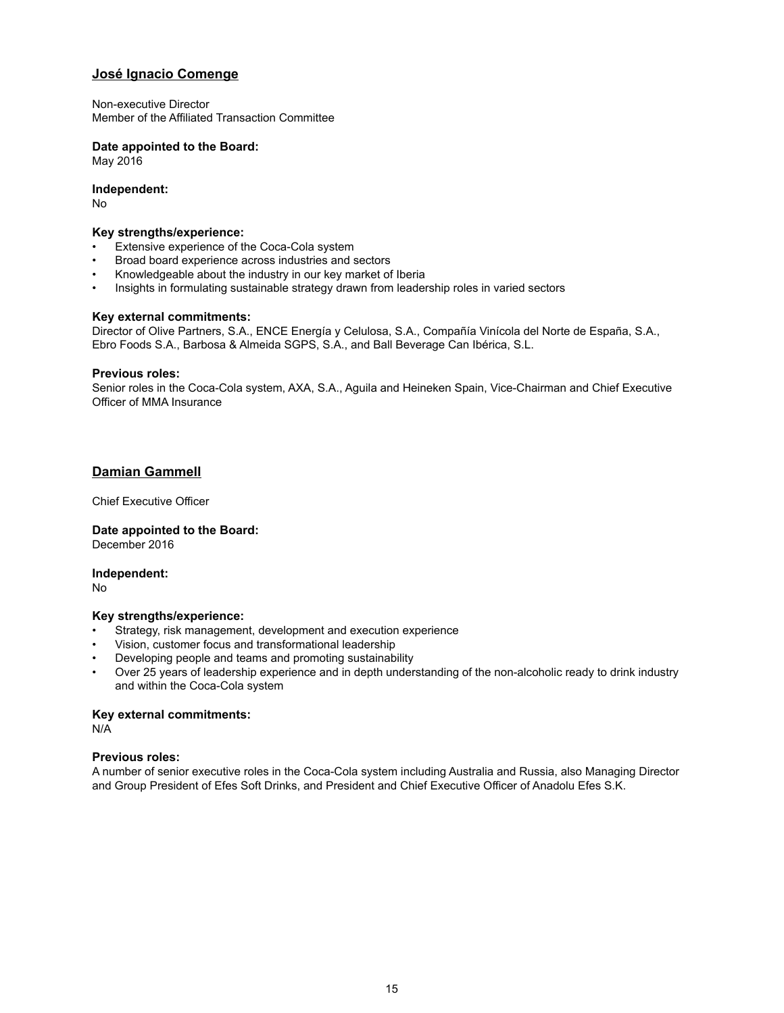## **José Ignacio Comenge**

Non-executive Director Member of the Affiliated Transaction Committee

## **Date appointed to the Board:**

May 2016

## **Independent:**

No

#### **Key strengths/experience:**

- Extensive experience of the Coca-Cola system
- Broad board experience across industries and sectors
- Knowledgeable about the industry in our key market of Iberia
- Insights in formulating sustainable strategy drawn from leadership roles in varied sectors

#### **Key external commitments:**

Director of Olive Partners, S.A., ENCE Energía y Celulosa, S.A., Compañía Vinícola del Norte de España, S.A., Ebro Foods S.A., Barbosa & Almeida SGPS, S.A., and Ball Beverage Can Ibérica, S.L.

#### **Previous roles:**

Senior roles in the Coca-Cola system, AXA, S.A., Aguila and Heineken Spain, Vice-Chairman and Chief Executive Officer of MMA Insurance

## **Damian Gammell**

Chief Executive Officer

#### **Date appointed to the Board:** December 2016

**Independent:**

No

#### **Key strengths/experience:**

- Strategy, risk management, development and execution experience
- Vision, customer focus and transformational leadership
- Developing people and teams and promoting sustainability
- Over 25 years of leadership experience and in depth understanding of the non-alcoholic ready to drink industry and within the Coca-Cola system

#### **Key external commitments:**

N/A

#### **Previous roles:**

A number of senior executive roles in the Coca-Cola system including Australia and Russia, also Managing Director and Group President of Efes Soft Drinks, and President and Chief Executive Officer of Anadolu Efes S.K.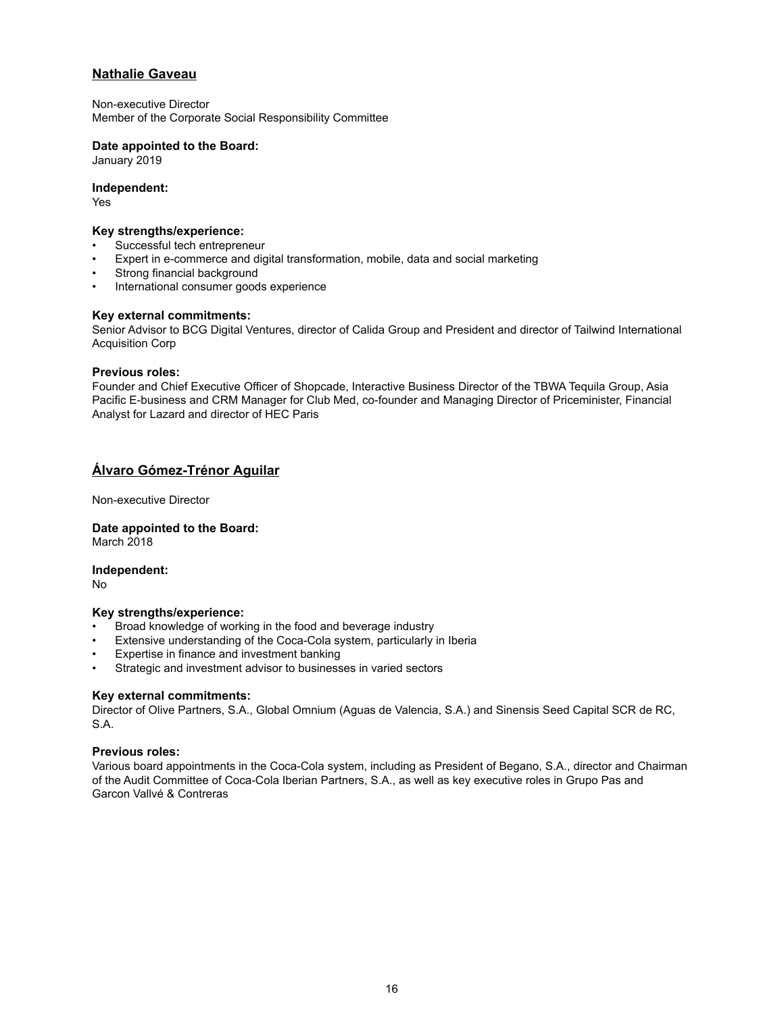# **Nathalie Gaveau**

Non-executive Director Member of the Corporate Social Responsibility Committee

#### **Date appointed to the Board:**

January 2019

#### **Independent:**

Yes

# **Key strengths/experience:**

- Successful tech entrepreneur
- Expert in e-commerce and digital transformation, mobile, data and social marketing
- Strong financial background
- International consumer goods experience

#### **Key external commitments:**

Senior Advisor to BCG Digital Ventures, director of Calida Group and President and director of Tailwind International Acquisition Corp

#### **Previous roles:**

Founder and Chief Executive Officer of Shopcade, Interactive Business Director of the TBWA Tequila Group, Asia Pacific E-business and CRM Manager for Club Med, co-founder and Managing Director of Priceminister, Financial Analyst for Lazard and director of HEC Paris

## **Álvaro Gómez-Trénor Aguilar**

Non-executive Director

**Date appointed to the Board:** March 2018

**Independent:**

No

#### **Key strengths/experience:**

- Broad knowledge of working in the food and beverage industry
- Extensive understanding of the Coca-Cola system, particularly in Iberia
- Expertise in finance and investment banking
- Strategic and investment advisor to businesses in varied sectors

#### **Key external commitments:**

Director of Olive Partners, S.A., Global Omnium (Aguas de Valencia, S.A.) and Sinensis Seed Capital SCR de RC, S.A.

#### **Previous roles:**

Various board appointments in the Coca-Cola system, including as President of Begano, S.A., director and Chairman of the Audit Committee of Coca-Cola Iberian Partners, S.A., as well as key executive roles in Grupo Pas and Garcon Vallvé & Contreras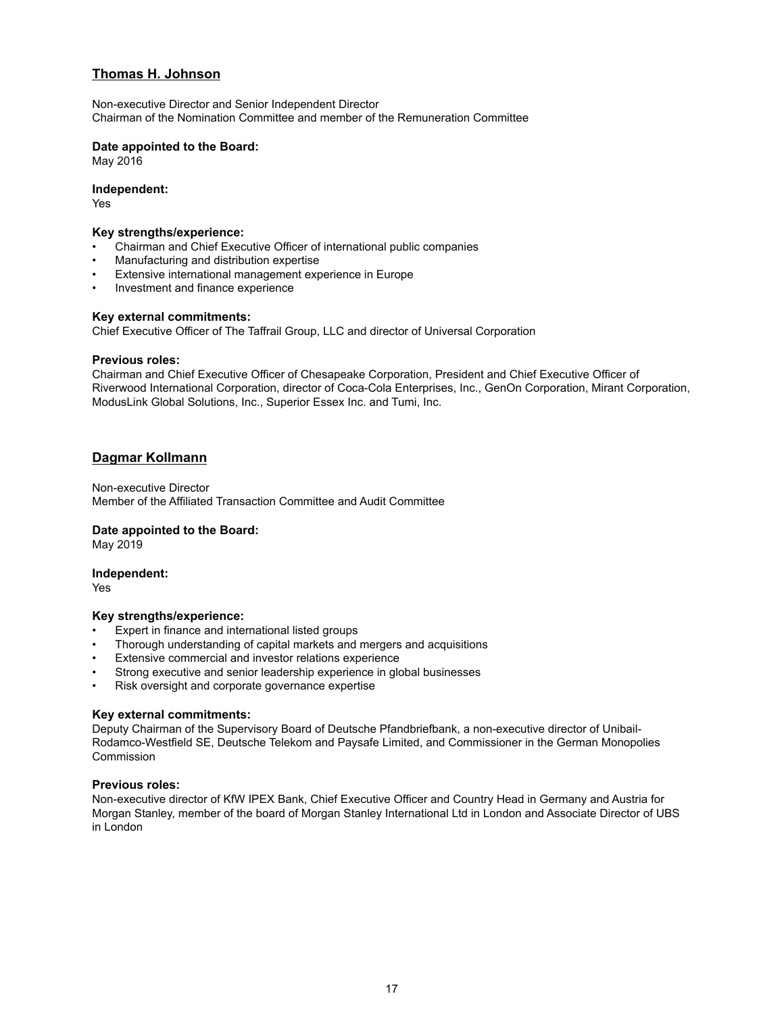# **Thomas H. Johnson**

Non-executive Director and Senior Independent Director Chairman of the Nomination Committee and member of the Remuneration Committee

## **Date appointed to the Board:**

May 2016

### **Independent:**

Yes

#### **Key strengths/experience:**

- Chairman and Chief Executive Officer of international public companies
- Manufacturing and distribution expertise
- Extensive international management experience in Europe
- Investment and finance experience

#### **Key external commitments:**

Chief Executive Officer of The Taffrail Group, LLC and director of Universal Corporation

#### **Previous roles:**

Chairman and Chief Executive Officer of Chesapeake Corporation, President and Chief Executive Officer of Riverwood International Corporation, director of Coca-Cola Enterprises, Inc., GenOn Corporation, Mirant Corporation, ModusLink Global Solutions, Inc., Superior Essex Inc. and Tumi, Inc.

## **Dagmar Kollmann**

Non-executive Director Member of the Affiliated Transaction Committee and Audit Committee

#### **Date appointed to the Board:**

May 2019

#### **Independent:**

Yes

#### **Key strengths/experience:**

- Expert in finance and international listed groups
- Thorough understanding of capital markets and mergers and acquisitions
- Extensive commercial and investor relations experience
- Strong executive and senior leadership experience in global businesses
- Risk oversight and corporate governance expertise

#### **Key external commitments:**

Deputy Chairman of the Supervisory Board of Deutsche Pfandbriefbank, a non-executive director of Unibail-Rodamco-Westfield SE, Deutsche Telekom and Paysafe Limited, and Commissioner in the German Monopolies Commission

#### **Previous roles:**

Non-executive director of KfW IPEX Bank, Chief Executive Officer and Country Head in Germany and Austria for Morgan Stanley, member of the board of Morgan Stanley International Ltd in London and Associate Director of UBS in London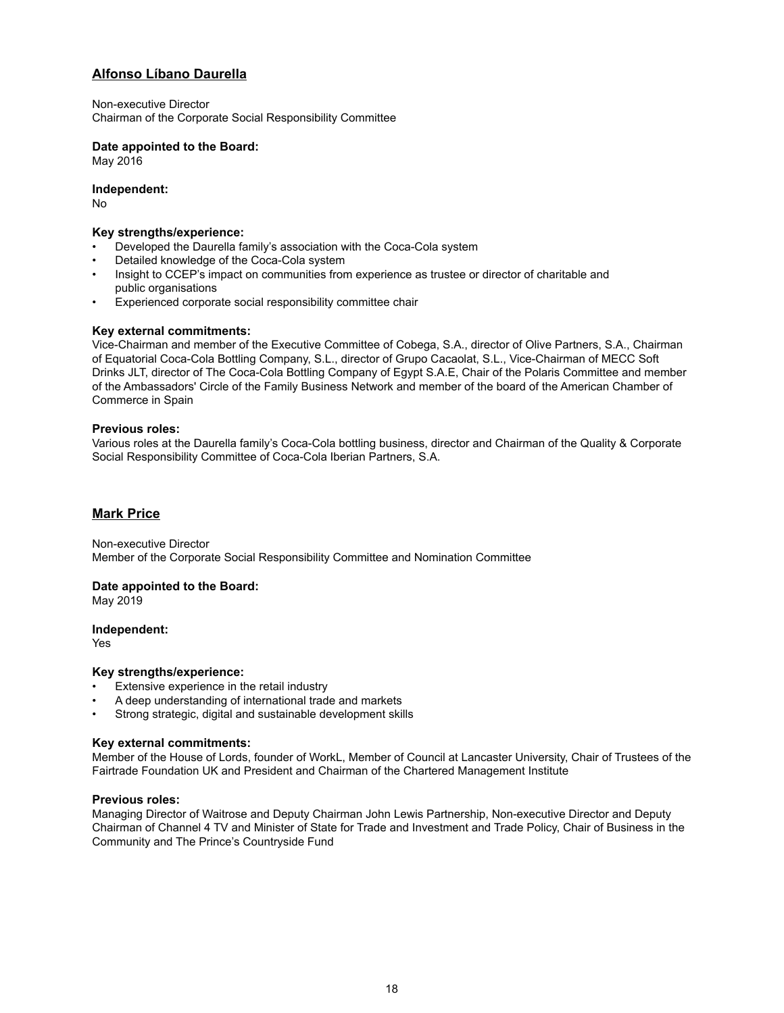# **Alfonso Líbano Daurella**

Non-executive Director Chairman of the Corporate Social Responsibility Committee

## **Date appointed to the Board:**

May 2016

**Independent:**

No

## **Key strengths/experience:**

- Developed the Daurella family's association with the Coca-Cola system
- Detailed knowledge of the Coca-Cola system
- Insight to CCEP's impact on communities from experience as trustee or director of charitable and public organisations
- Experienced corporate social responsibility committee chair

## **Key external commitments:**

Vice-Chairman and member of the Executive Committee of Cobega, S.A., director of Olive Partners, S.A., Chairman of Equatorial Coca-Cola Bottling Company, S.L., director of Grupo Cacaolat, S.L., Vice-Chairman of MECC Soft Drinks JLT, director of The Coca-Cola Bottling Company of Egypt S.A.E, Chair of the Polaris Committee and member of the Ambassadors' Circle of the Family Business Network and member of the board of the American Chamber of Commerce in Spain

## **Previous roles:**

Various roles at the Daurella family's Coca-Cola bottling business, director and Chairman of the Quality & Corporate Social Responsibility Committee of Coca-Cola Iberian Partners, S.A.

# **Mark Price**

Non-executive Director Member of the Corporate Social Responsibility Committee and Nomination Committee

#### **Date appointed to the Board:**

May 2019

#### **Independent:**

Yes

#### **Key strengths/experience:**

- Extensive experience in the retail industry
- A deep understanding of international trade and markets
- Strong strategic, digital and sustainable development skills

#### **Key external commitments:**

Member of the House of Lords, founder of WorkL, Member of Council at Lancaster University, Chair of Trustees of the Fairtrade Foundation UK and President and Chairman of the Chartered Management Institute

#### **Previous roles:**

Managing Director of Waitrose and Deputy Chairman John Lewis Partnership, Non-executive Director and Deputy Chairman of Channel 4 TV and Minister of State for Trade and Investment and Trade Policy, Chair of Business in the Community and The Prince's Countryside Fund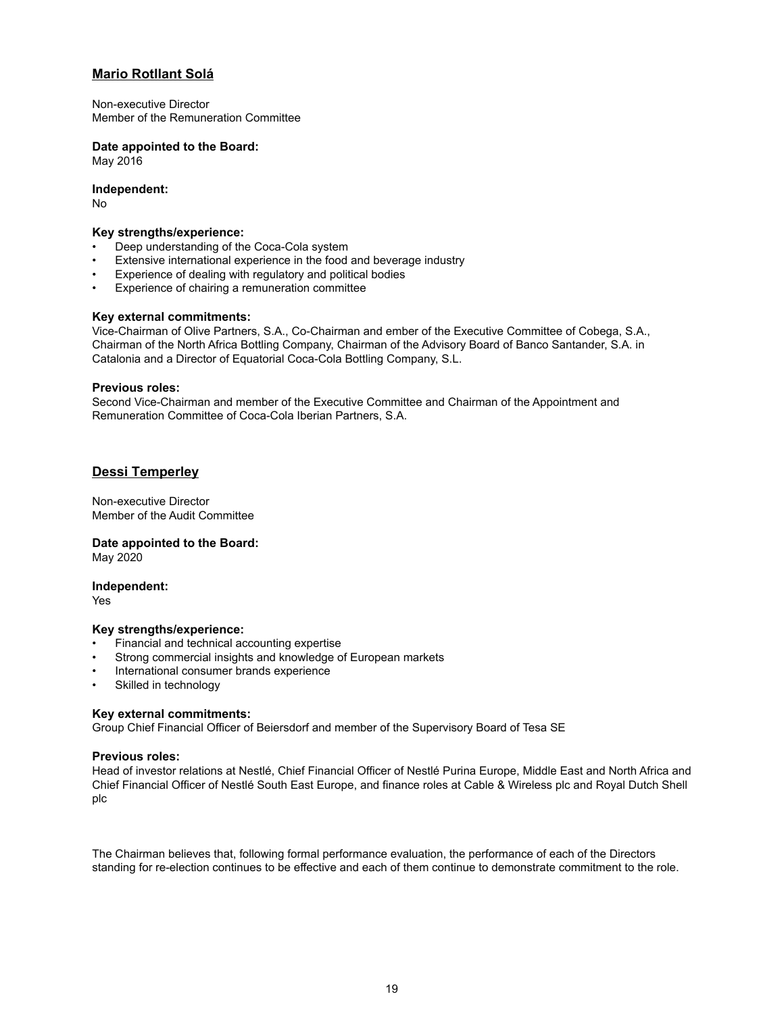# **Mario Rotllant Solá**

Non-executive Director Member of the Remuneration Committee

## **Date appointed to the Board:**

May 2016

**Independent:**

No

### **Key strengths/experience:**

- Deep understanding of the Coca-Cola system
- Extensive international experience in the food and beverage industry
- Experience of dealing with regulatory and political bodies
- Experience of chairing a remuneration committee

## **Key external commitments:**

Vice-Chairman of Olive Partners, S.A., Co-Chairman and ember of the Executive Committee of Cobega, S.A., Chairman of the North Africa Bottling Company, Chairman of the Advisory Board of Banco Santander, S.A. in Catalonia and a Director of Equatorial Coca-Cola Bottling Company, S.L.

## **Previous roles:**

Second Vice-Chairman and member of the Executive Committee and Chairman of the Appointment and Remuneration Committee of Coca-Cola Iberian Partners, S.A.

# **Dessi Temperley**

Non-executive Director Member of the Audit Committee

# **Date appointed to the Board:**

May 2020

#### **Independent:**

Yes

## **Key strengths/experience:**

- Financial and technical accounting expertise
- Strong commercial insights and knowledge of European markets
- International consumer brands experience
- Skilled in technology

## **Key external commitments:**

Group Chief Financial Officer of Beiersdorf and member of the Supervisory Board of Tesa SE

## **Previous roles:**

Head of investor relations at Nestlé, Chief Financial Officer of Nestlé Purina Europe, Middle East and North Africa and Chief Financial Officer of Nestlé South East Europe, and finance roles at Cable & Wireless plc and Royal Dutch Shell plc

The Chairman believes that, following formal performance evaluation, the performance of each of the Directors standing for re-election continues to be effective and each of them continue to demonstrate commitment to the role.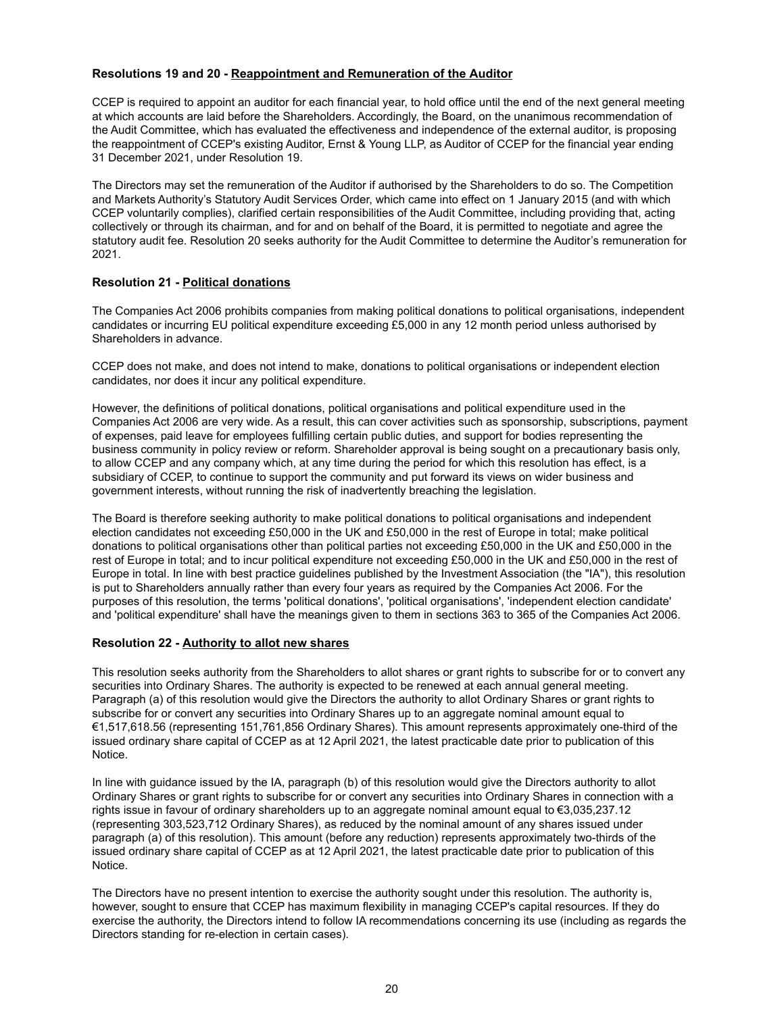## **Resolutions 19 and 20 - Reappointment and Remuneration of the Auditor**

CCEP is required to appoint an auditor for each financial year, to hold office until the end of the next general meeting at which accounts are laid before the Shareholders. Accordingly, the Board, on the unanimous recommendation of the Audit Committee, which has evaluated the effectiveness and independence of the external auditor, is proposing the reappointment of CCEP's existing Auditor, Ernst & Young LLP, as Auditor of CCEP for the financial year ending 31 December 2021, under Resolution 19.

The Directors may set the remuneration of the Auditor if authorised by the Shareholders to do so. The Competition and Markets Authority's Statutory Audit Services Order, which came into effect on 1 January 2015 (and with which CCEP voluntarily complies), clarified certain responsibilities of the Audit Committee, including providing that, acting collectively or through its chairman, and for and on behalf of the Board, it is permitted to negotiate and agree the statutory audit fee. Resolution 20 seeks authority for the Audit Committee to determine the Auditor's remuneration for 2021.

#### **Resolution 21 - Political donations**

The Companies Act 2006 prohibits companies from making political donations to political organisations, independent candidates or incurring EU political expenditure exceeding £5,000 in any 12 month period unless authorised by Shareholders in advance.

CCEP does not make, and does not intend to make, donations to political organisations or independent election candidates, nor does it incur any political expenditure.

However, the definitions of political donations, political organisations and political expenditure used in the Companies Act 2006 are very wide. As a result, this can cover activities such as sponsorship, subscriptions, payment of expenses, paid leave for employees fulfilling certain public duties, and support for bodies representing the business community in policy review or reform. Shareholder approval is being sought on a precautionary basis only, to allow CCEP and any company which, at any time during the period for which this resolution has effect, is a subsidiary of CCEP, to continue to support the community and put forward its views on wider business and government interests, without running the risk of inadvertently breaching the legislation.

The Board is therefore seeking authority to make political donations to political organisations and independent election candidates not exceeding £50,000 in the UK and £50,000 in the rest of Europe in total; make political donations to political organisations other than political parties not exceeding £50,000 in the UK and £50,000 in the rest of Europe in total; and to incur political expenditure not exceeding £50,000 in the UK and £50,000 in the rest of Europe in total. In line with best practice guidelines published by the Investment Association (the "IA"), this resolution is put to Shareholders annually rather than every four years as required by the Companies Act 2006. For the purposes of this resolution, the terms 'political donations', 'political organisations', 'independent election candidate' and 'political expenditure' shall have the meanings given to them in sections 363 to 365 of the Companies Act 2006.

#### **Resolution 22 - Authority to allot new shares**

This resolution seeks authority from the Shareholders to allot shares or grant rights to subscribe for or to convert any securities into Ordinary Shares. The authority is expected to be renewed at each annual general meeting. Paragraph (a) of this resolution would give the Directors the authority to allot Ordinary Shares or grant rights to subscribe for or convert any securities into Ordinary Shares up to an aggregate nominal amount equal to €1,517,618.56 (representing 151,761,856 Ordinary Shares). This amount represents approximately one-third of the issued ordinary share capital of CCEP as at 12 April 2021, the latest practicable date prior to publication of this Notice.

In line with guidance issued by the IA, paragraph (b) of this resolution would give the Directors authority to allot Ordinary Shares or grant rights to subscribe for or convert any securities into Ordinary Shares in connection with a rights issue in favour of ordinary shareholders up to an aggregate nominal amount equal to €3,035,237.12 (representing 303,523,712 Ordinary Shares), as reduced by the nominal amount of any shares issued under paragraph (a) of this resolution). This amount (before any reduction) represents approximately two-thirds of the issued ordinary share capital of CCEP as at 12 April 2021, the latest practicable date prior to publication of this Notice.

The Directors have no present intention to exercise the authority sought under this resolution. The authority is, however, sought to ensure that CCEP has maximum flexibility in managing CCEP's capital resources. If they do exercise the authority, the Directors intend to follow IA recommendations concerning its use (including as regards the Directors standing for re-election in certain cases).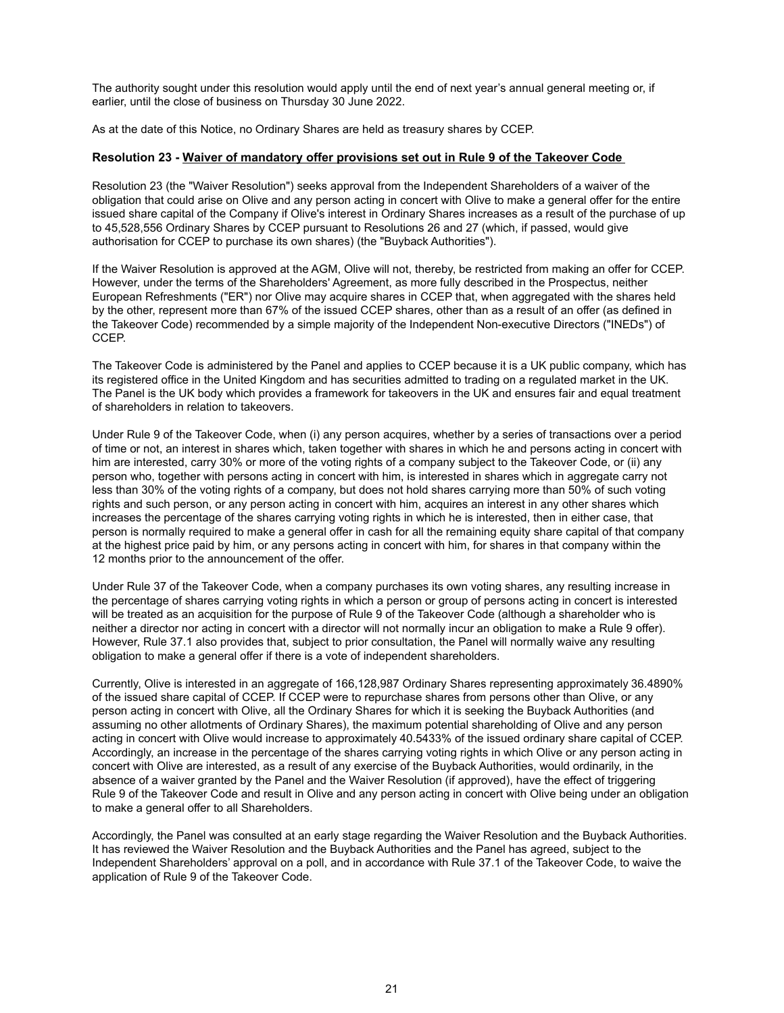The authority sought under this resolution would apply until the end of next year's annual general meeting or, if earlier, until the close of business on Thursday 30 June 2022.

As at the date of this Notice, no Ordinary Shares are held as treasury shares by CCEP.

#### **Resolution 23 - Waiver of mandatory offer provisions set out in Rule 9 of the Takeover Code**

Resolution 23 (the "Waiver Resolution") seeks approval from the Independent Shareholders of a waiver of the obligation that could arise on Olive and any person acting in concert with Olive to make a general offer for the entire issued share capital of the Company if Olive's interest in Ordinary Shares increases as a result of the purchase of up to 45,528,556 Ordinary Shares by CCEP pursuant to Resolutions 26 and 27 (which, if passed, would give authorisation for CCEP to purchase its own shares) (the "Buyback Authorities").

If the Waiver Resolution is approved at the AGM, Olive will not, thereby, be restricted from making an offer for CCEP. However, under the terms of the Shareholders' Agreement, as more fully described in the Prospectus, neither European Refreshments ("ER") nor Olive may acquire shares in CCEP that, when aggregated with the shares held by the other, represent more than 67% of the issued CCEP shares, other than as a result of an offer (as defined in the Takeover Code) recommended by a simple majority of the Independent Non-executive Directors ("INEDs") of CCEP.

The Takeover Code is administered by the Panel and applies to CCEP because it is a UK public company, which has its registered office in the United Kingdom and has securities admitted to trading on a regulated market in the UK. The Panel is the UK body which provides a framework for takeovers in the UK and ensures fair and equal treatment of shareholders in relation to takeovers.

Under Rule 9 of the Takeover Code, when (i) any person acquires, whether by a series of transactions over a period of time or not, an interest in shares which, taken together with shares in which he and persons acting in concert with him are interested, carry 30% or more of the voting rights of a company subject to the Takeover Code, or (ii) any person who, together with persons acting in concert with him, is interested in shares which in aggregate carry not less than 30% of the voting rights of a company, but does not hold shares carrying more than 50% of such voting rights and such person, or any person acting in concert with him, acquires an interest in any other shares which increases the percentage of the shares carrying voting rights in which he is interested, then in either case, that person is normally required to make a general offer in cash for all the remaining equity share capital of that company at the highest price paid by him, or any persons acting in concert with him, for shares in that company within the 12 months prior to the announcement of the offer.

Under Rule 37 of the Takeover Code, when a company purchases its own voting shares, any resulting increase in the percentage of shares carrying voting rights in which a person or group of persons acting in concert is interested will be treated as an acquisition for the purpose of Rule 9 of the Takeover Code (although a shareholder who is neither a director nor acting in concert with a director will not normally incur an obligation to make a Rule 9 offer). However, Rule 37.1 also provides that, subject to prior consultation, the Panel will normally waive any resulting obligation to make a general offer if there is a vote of independent shareholders.

Currently, Olive is interested in an aggregate of 166,128,987 Ordinary Shares representing approximately 36.4890% of the issued share capital of CCEP. If CCEP were to repurchase shares from persons other than Olive, or any person acting in concert with Olive, all the Ordinary Shares for which it is seeking the Buyback Authorities (and assuming no other allotments of Ordinary Shares), the maximum potential shareholding of Olive and any person acting in concert with Olive would increase to approximately 40.5433% of the issued ordinary share capital of CCEP. Accordingly, an increase in the percentage of the shares carrying voting rights in which Olive or any person acting in concert with Olive are interested, as a result of any exercise of the Buyback Authorities, would ordinarily, in the absence of a waiver granted by the Panel and the Waiver Resolution (if approved), have the effect of triggering Rule 9 of the Takeover Code and result in Olive and any person acting in concert with Olive being under an obligation to make a general offer to all Shareholders.

Accordingly, the Panel was consulted at an early stage regarding the Waiver Resolution and the Buyback Authorities. It has reviewed the Waiver Resolution and the Buyback Authorities and the Panel has agreed, subject to the Independent Shareholders' approval on a poll, and in accordance with Rule 37.1 of the Takeover Code, to waive the application of Rule 9 of the Takeover Code.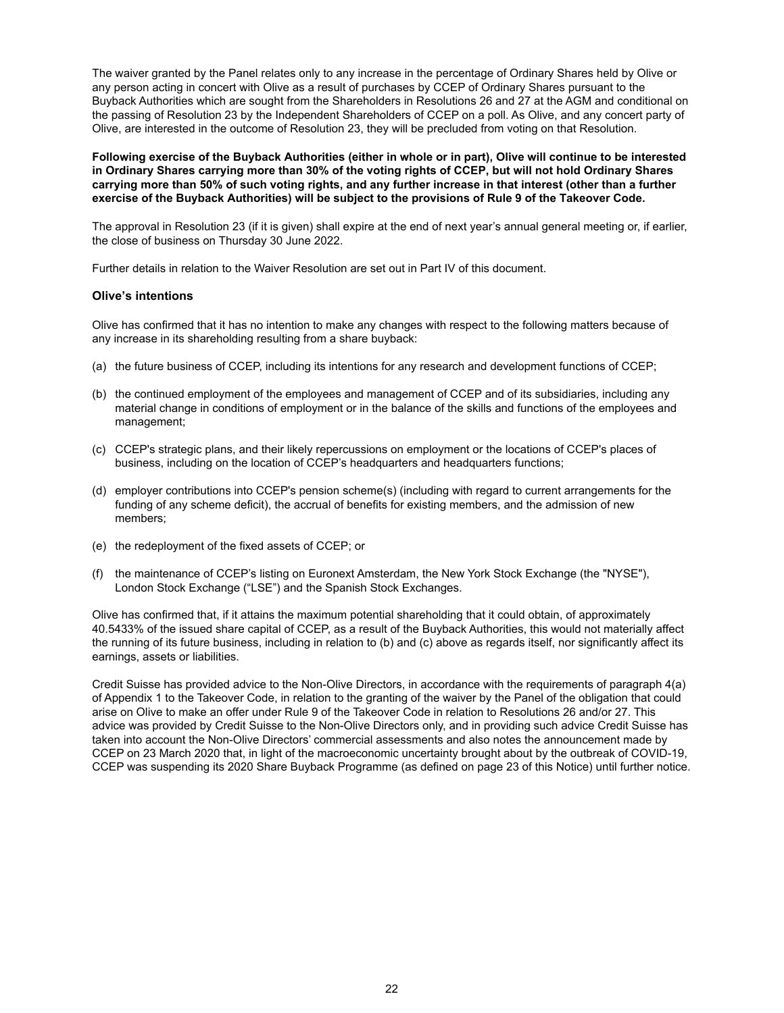The waiver granted by the Panel relates only to any increase in the percentage of Ordinary Shares held by Olive or any person acting in concert with Olive as a result of purchases by CCEP of Ordinary Shares pursuant to the Buyback Authorities which are sought from the Shareholders in Resolutions 26 and 27 at the AGM and conditional on the passing of Resolution 23 by the Independent Shareholders of CCEP on a poll. As Olive, and any concert party of Olive, are interested in the outcome of Resolution 23, they will be precluded from voting on that Resolution.

**Following exercise of the Buyback Authorities (either in whole or in part), Olive will continue to be interested in Ordinary Shares carrying more than 30% of the voting rights of CCEP, but will not hold Ordinary Shares carrying more than 50% of such voting rights, and any further increase in that interest (other than a further exercise of the Buyback Authorities) will be subject to the provisions of Rule 9 of the Takeover Code.**

The approval in Resolution 23 (if it is given) shall expire at the end of next year's annual general meeting or, if earlier, the close of business on Thursday 30 June 2022.

Further details in relation to the Waiver Resolution are set out in Part IV of this document.

#### **Olive's intentions**

Olive has confirmed that it has no intention to make any changes with respect to the following matters because of any increase in its shareholding resulting from a share buyback:

- (a) the future business of CCEP, including its intentions for any research and development functions of CCEP;
- (b) the continued employment of the employees and management of CCEP and of its subsidiaries, including any material change in conditions of employment or in the balance of the skills and functions of the employees and management;
- (c) CCEP's strategic plans, and their likely repercussions on employment or the locations of CCEP's places of business, including on the location of CCEP's headquarters and headquarters functions;
- (d) employer contributions into CCEP's pension scheme(s) (including with regard to current arrangements for the funding of any scheme deficit), the accrual of benefits for existing members, and the admission of new members;
- (e) the redeployment of the fixed assets of CCEP; or
- (f) the maintenance of CCEP's listing on Euronext Amsterdam, the New York Stock Exchange (the "NYSE"), London Stock Exchange ("LSE") and the Spanish Stock Exchanges.

Olive has confirmed that, if it attains the maximum potential shareholding that it could obtain, of approximately 40.5433% of the issued share capital of CCEP, as a result of the Buyback Authorities, this would not materially affect the running of its future business, including in relation to (b) and (c) above as regards itself, nor significantly affect its earnings, assets or liabilities.

Credit Suisse has provided advice to the Non-Olive Directors, in accordance with the requirements of paragraph 4(a) of Appendix 1 to the Takeover Code, in relation to the granting of the waiver by the Panel of the obligation that could arise on Olive to make an offer under Rule 9 of the Takeover Code in relation to Resolutions 26 and/or 27. This advice was provided by Credit Suisse to the Non-Olive Directors only, and in providing such advice Credit Suisse has taken into account the Non-Olive Directors' commercial assessments and also notes the announcement made by CCEP on 23 March 2020 that, in light of the macroeconomic uncertainty brought about by the outbreak of COVID-19, CCEP was suspending its 2020 Share Buyback Programme (as defined on page 23 of this Notice) until further notice.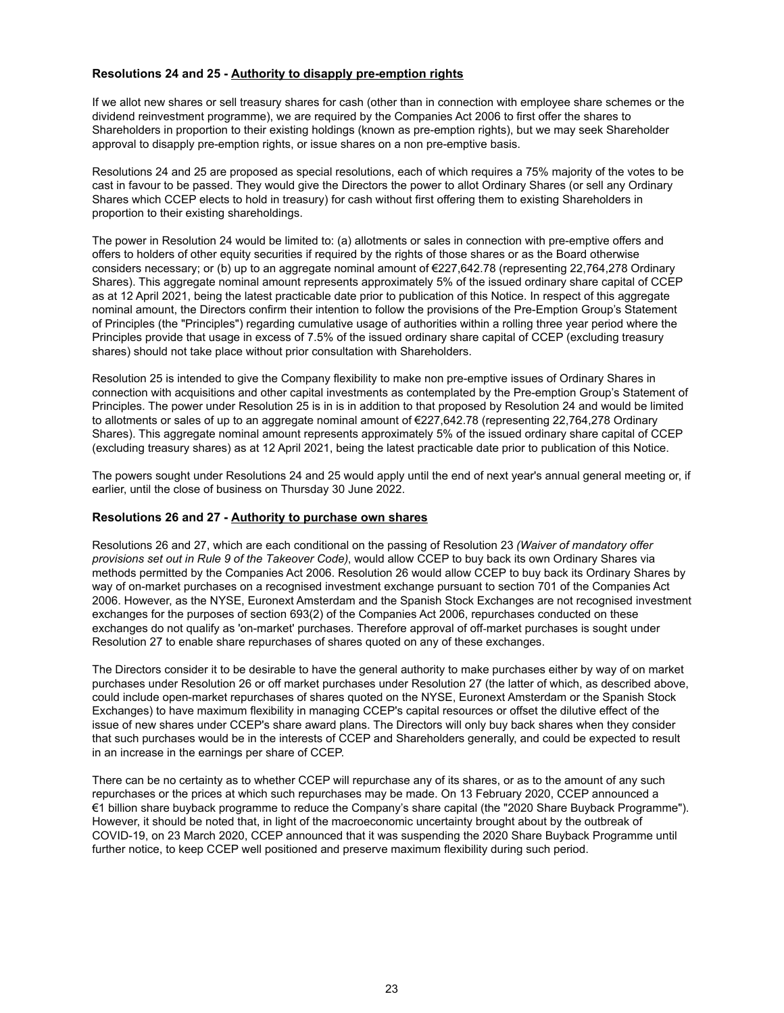## **Resolutions 24 and 25 - Authority to disapply pre-emption rights**

If we allot new shares or sell treasury shares for cash (other than in connection with employee share schemes or the dividend reinvestment programme), we are required by the Companies Act 2006 to first offer the shares to Shareholders in proportion to their existing holdings (known as pre-emption rights), but we may seek Shareholder approval to disapply pre-emption rights, or issue shares on a non pre-emptive basis.

Resolutions 24 and 25 are proposed as special resolutions, each of which requires a 75% majority of the votes to be cast in favour to be passed. They would give the Directors the power to allot Ordinary Shares (or sell any Ordinary Shares which CCEP elects to hold in treasury) for cash without first offering them to existing Shareholders in proportion to their existing shareholdings.

The power in Resolution 24 would be limited to: (a) allotments or sales in connection with pre-emptive offers and offers to holders of other equity securities if required by the rights of those shares or as the Board otherwise considers necessary; or (b) up to an aggregate nominal amount of €227,642.78 (representing 22,764,278 Ordinary Shares). This aggregate nominal amount represents approximately 5% of the issued ordinary share capital of CCEP as at 12 April 2021, being the latest practicable date prior to publication of this Notice. In respect of this aggregate nominal amount, the Directors confirm their intention to follow the provisions of the Pre-Emption Group's Statement of Principles (the "Principles") regarding cumulative usage of authorities within a rolling three year period where the Principles provide that usage in excess of 7.5% of the issued ordinary share capital of CCEP (excluding treasury shares) should not take place without prior consultation with Shareholders.

Resolution 25 is intended to give the Company flexibility to make non pre-emptive issues of Ordinary Shares in connection with acquisitions and other capital investments as contemplated by the Pre-emption Group's Statement of Principles. The power under Resolution 25 is in is in addition to that proposed by Resolution 24 and would be limited to allotments or sales of up to an aggregate nominal amount of €227,642.78 (representing 22,764,278 Ordinary Shares). This aggregate nominal amount represents approximately 5% of the issued ordinary share capital of CCEP (excluding treasury shares) as at 12 April 2021, being the latest practicable date prior to publication of this Notice.

The powers sought under Resolutions 24 and 25 would apply until the end of next year's annual general meeting or, if earlier, until the close of business on Thursday 30 June 2022.

#### **Resolutions 26 and 27 - Authority to purchase own shares**

Resolutions 26 and 27, which are each conditional on the passing of Resolution 23 *(Waiver of mandatory offer provisions set out in Rule 9 of the Takeover Code)*, would allow CCEP to buy back its own Ordinary Shares via methods permitted by the Companies Act 2006. Resolution 26 would allow CCEP to buy back its Ordinary Shares by way of on-market purchases on a recognised investment exchange pursuant to section 701 of the Companies Act 2006. However, as the NYSE, Euronext Amsterdam and the Spanish Stock Exchanges are not recognised investment exchanges for the purposes of section 693(2) of the Companies Act 2006, repurchases conducted on these exchanges do not qualify as 'on-market' purchases. Therefore approval of off‑market purchases is sought under Resolution 27 to enable share repurchases of shares quoted on any of these exchanges.

The Directors consider it to be desirable to have the general authority to make purchases either by way of on market purchases under Resolution 26 or off market purchases under Resolution 27 (the latter of which, as described above, could include open-market repurchases of shares quoted on the NYSE, Euronext Amsterdam or the Spanish Stock Exchanges) to have maximum flexibility in managing CCEP's capital resources or offset the dilutive effect of the issue of new shares under CCEP's share award plans. The Directors will only buy back shares when they consider that such purchases would be in the interests of CCEP and Shareholders generally, and could be expected to result in an increase in the earnings per share of CCEP.

There can be no certainty as to whether CCEP will repurchase any of its shares, or as to the amount of any such repurchases or the prices at which such repurchases may be made. On 13 February 2020, CCEP announced a €1 billion share buyback programme to reduce the Company's share capital (the "2020 Share Buyback Programme"). However, it should be noted that, in light of the macroeconomic uncertainty brought about by the outbreak of COVID-19, on 23 March 2020, CCEP announced that it was suspending the 2020 Share Buyback Programme until further notice, to keep CCEP well positioned and preserve maximum flexibility during such period.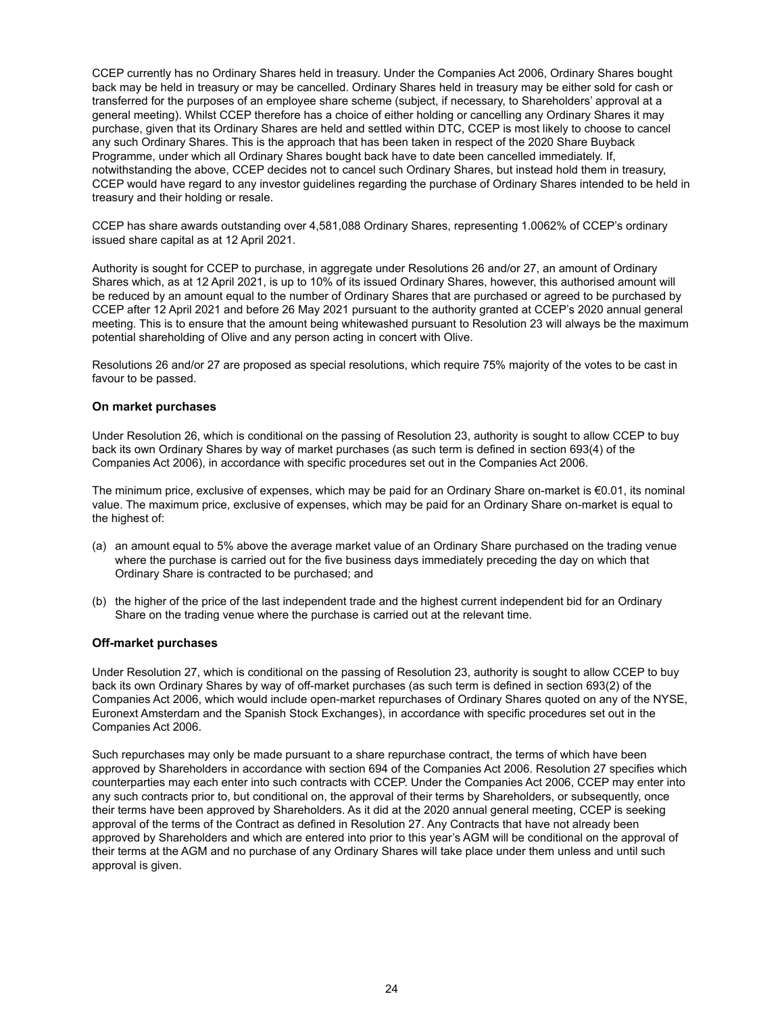CCEP currently has no Ordinary Shares held in treasury. Under the Companies Act 2006, Ordinary Shares bought back may be held in treasury or may be cancelled. Ordinary Shares held in treasury may be either sold for cash or transferred for the purposes of an employee share scheme (subject, if necessary, to Shareholders' approval at a general meeting). Whilst CCEP therefore has a choice of either holding or cancelling any Ordinary Shares it may purchase, given that its Ordinary Shares are held and settled within DTC, CCEP is most likely to choose to cancel any such Ordinary Shares. This is the approach that has been taken in respect of the 2020 Share Buyback Programme, under which all Ordinary Shares bought back have to date been cancelled immediately. If, notwithstanding the above, CCEP decides not to cancel such Ordinary Shares, but instead hold them in treasury, CCEP would have regard to any investor guidelines regarding the purchase of Ordinary Shares intended to be held in treasury and their holding or resale.

CCEP has share awards outstanding over 4,581,088 Ordinary Shares, representing 1.0062% of CCEP's ordinary issued share capital as at 12 April 2021.

Authority is sought for CCEP to purchase, in aggregate under Resolutions 26 and/or 27, an amount of Ordinary Shares which, as at 12 April 2021, is up to 10% of its issued Ordinary Shares, however, this authorised amount will be reduced by an amount equal to the number of Ordinary Shares that are purchased or agreed to be purchased by CCEP after 12 April 2021 and before 26 May 2021 pursuant to the authority granted at CCEP's 2020 annual general meeting. This is to ensure that the amount being whitewashed pursuant to Resolution 23 will always be the maximum potential shareholding of Olive and any person acting in concert with Olive.

Resolutions 26 and/or 27 are proposed as special resolutions, which require 75% majority of the votes to be cast in favour to be passed.

#### **On market purchases**

Under Resolution 26, which is conditional on the passing of Resolution 23, authority is sought to allow CCEP to buy back its own Ordinary Shares by way of market purchases (as such term is defined in section 693(4) of the Companies Act 2006), in accordance with specific procedures set out in the Companies Act 2006.

The minimum price, exclusive of expenses, which may be paid for an Ordinary Share on-market is €0.01, its nominal value. The maximum price, exclusive of expenses, which may be paid for an Ordinary Share on-market is equal to the highest of:

- (a) an amount equal to 5% above the average market value of an Ordinary Share purchased on the trading venue where the purchase is carried out for the five business days immediately preceding the day on which that Ordinary Share is contracted to be purchased; and
- (b) the higher of the price of the last independent trade and the highest current independent bid for an Ordinary Share on the trading venue where the purchase is carried out at the relevant time.

#### **Off-market purchases**

Under Resolution 27, which is conditional on the passing of Resolution 23, authority is sought to allow CCEP to buy back its own Ordinary Shares by way of off-market purchases (as such term is defined in section 693(2) of the Companies Act 2006, which would include open-market repurchases of Ordinary Shares quoted on any of the NYSE, Euronext Amsterdam and the Spanish Stock Exchanges), in accordance with specific procedures set out in the Companies Act 2006.

Such repurchases may only be made pursuant to a share repurchase contract, the terms of which have been approved by Shareholders in accordance with section 694 of the Companies Act 2006. Resolution 27 specifies which counterparties may each enter into such contracts with CCEP. Under the Companies Act 2006, CCEP may enter into any such contracts prior to, but conditional on, the approval of their terms by Shareholders, or subsequently, once their terms have been approved by Shareholders. As it did at the 2020 annual general meeting, CCEP is seeking approval of the terms of the Contract as defined in Resolution 27. Any Contracts that have not already been approved by Shareholders and which are entered into prior to this year's AGM will be conditional on the approval of their terms at the AGM and no purchase of any Ordinary Shares will take place under them unless and until such approval is given.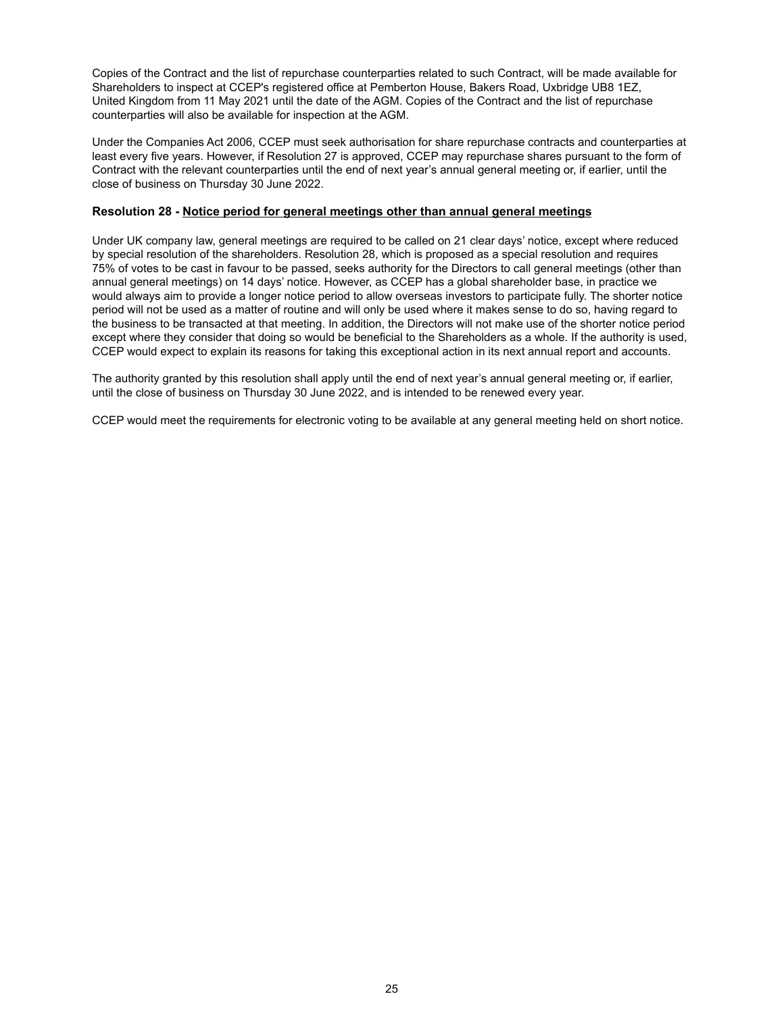Copies of the Contract and the list of repurchase counterparties related to such Contract, will be made available for Shareholders to inspect at CCEP's registered office at Pemberton House, Bakers Road, Uxbridge UB8 1EZ, United Kingdom from 11 May 2021 until the date of the AGM. Copies of the Contract and the list of repurchase counterparties will also be available for inspection at the AGM.

Under the Companies Act 2006, CCEP must seek authorisation for share repurchase contracts and counterparties at least every five years. However, if Resolution 27 is approved, CCEP may repurchase shares pursuant to the form of Contract with the relevant counterparties until the end of next year's annual general meeting or, if earlier, until the close of business on Thursday 30 June 2022.

### **Resolution 28 - Notice period for general meetings other than annual general meetings**

Under UK company law, general meetings are required to be called on 21 clear days' notice, except where reduced by special resolution of the shareholders. Resolution 28, which is proposed as a special resolution and requires 75% of votes to be cast in favour to be passed, seeks authority for the Directors to call general meetings (other than annual general meetings) on 14 days' notice. However, as CCEP has a global shareholder base, in practice we would always aim to provide a longer notice period to allow overseas investors to participate fully. The shorter notice period will not be used as a matter of routine and will only be used where it makes sense to do so, having regard to the business to be transacted at that meeting. In addition, the Directors will not make use of the shorter notice period except where they consider that doing so would be beneficial to the Shareholders as a whole. If the authority is used, CCEP would expect to explain its reasons for taking this exceptional action in its next annual report and accounts.

The authority granted by this resolution shall apply until the end of next year's annual general meeting or, if earlier, until the close of business on Thursday 30 June 2022, and is intended to be renewed every year.

CCEP would meet the requirements for electronic voting to be available at any general meeting held on short notice.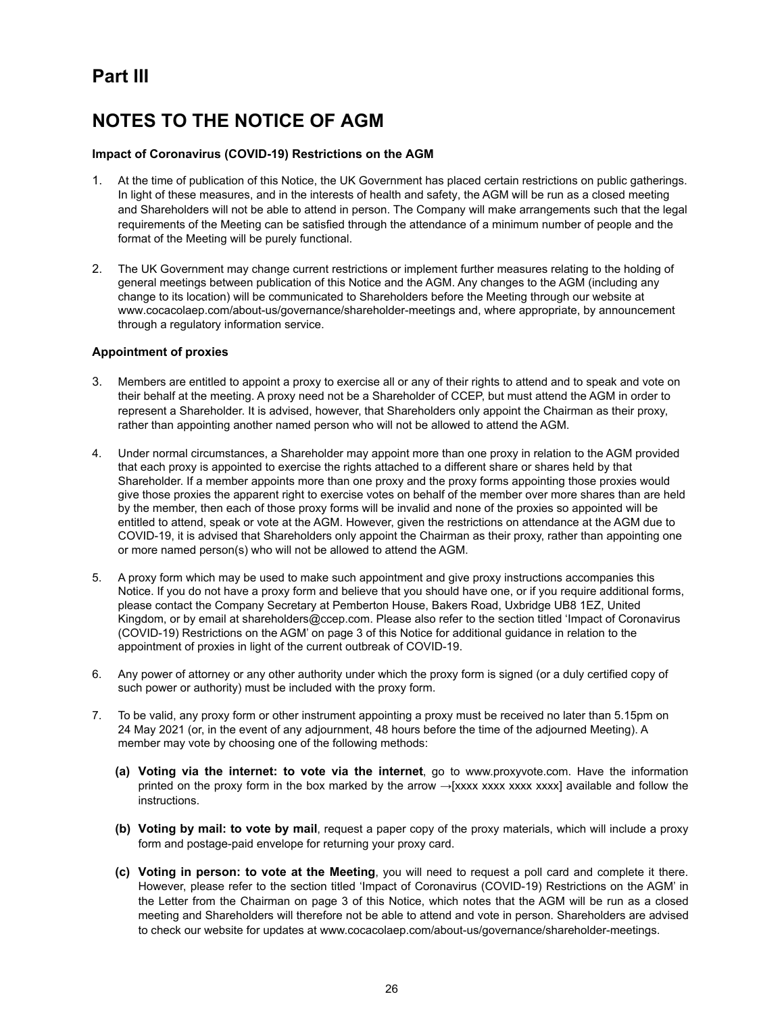# **Part III**

# **NOTES TO THE NOTICE OF AGM**

## **Impact of Coronavirus (COVID-19) Restrictions on the AGM**

- 1. At the time of publication of this Notice, the UK Government has placed certain restrictions on public gatherings. In light of these measures, and in the interests of health and safety, the AGM will be run as a closed meeting and Shareholders will not be able to attend in person. The Company will make arrangements such that the legal requirements of the Meeting can be satisfied through the attendance of a minimum number of people and the format of the Meeting will be purely functional.
- 2. The UK Government may change current restrictions or implement further measures relating to the holding of general meetings between publication of this Notice and the AGM. Any changes to the AGM (including any change to its location) will be communicated to Shareholders before the Meeting through our website at www.cocacolaep.com/about-us/governance/shareholder-meetings and, where appropriate, by announcement through a regulatory information service.

#### **Appointment of proxies**

- 3. Members are entitled to appoint a proxy to exercise all or any of their rights to attend and to speak and vote on their behalf at the meeting. A proxy need not be a Shareholder of CCEP, but must attend the AGM in order to represent a Shareholder. It is advised, however, that Shareholders only appoint the Chairman as their proxy, rather than appointing another named person who will not be allowed to attend the AGM.
- 4. Under normal circumstances, a Shareholder may appoint more than one proxy in relation to the AGM provided that each proxy is appointed to exercise the rights attached to a different share or shares held by that Shareholder. If a member appoints more than one proxy and the proxy forms appointing those proxies would give those proxies the apparent right to exercise votes on behalf of the member over more shares than are held by the member, then each of those proxy forms will be invalid and none of the proxies so appointed will be entitled to attend, speak or vote at the AGM. However, given the restrictions on attendance at the AGM due to COVID-19, it is advised that Shareholders only appoint the Chairman as their proxy, rather than appointing one or more named person(s) who will not be allowed to attend the AGM.
- 5. A proxy form which may be used to make such appointment and give proxy instructions accompanies this Notice. If you do not have a proxy form and believe that you should have one, or if you require additional forms, please contact the Company Secretary at Pemberton House, Bakers Road, Uxbridge UB8 1EZ, United Kingdom, or by email at shareholders@ccep.com. Please also refer to the section titled 'Impact of Coronavirus (COVID-19) Restrictions on the AGM' on page 3 of this Notice for additional guidance in relation to the appointment of proxies in light of the current outbreak of COVID-19.
- 6. Any power of attorney or any other authority under which the proxy form is signed (or a duly certified copy of such power or authority) must be included with the proxy form.
- 7. To be valid, any proxy form or other instrument appointing a proxy must be received no later than 5.15pm on 24 May 2021 (or, in the event of any adjournment, 48 hours before the time of the adjourned Meeting). A member may vote by choosing one of the following methods:
	- **(a) Voting via the internet: to vote via the internet**, go to www.proxyvote.com. Have the information printed on the proxy form in the box marked by the arrow  $\rightarrow$ [xxxx xxxx xxxx xxxx] available and follow the instructions.
	- **(b) Voting by mail: to vote by mail**, request a paper copy of the proxy materials, which will include a proxy form and postage-paid envelope for returning your proxy card.
	- **(c) Voting in person: to vote at the Meeting**, you will need to request a poll card and complete it there. However, please refer to the section titled 'Impact of Coronavirus (COVID-19) Restrictions on the AGM' in the Letter from the Chairman on page 3 of this Notice, which notes that the AGM will be run as a closed meeting and Shareholders will therefore not be able to attend and vote in person. Shareholders are advised to check our website for updates at www.cocacolaep.com/about-us/governance/shareholder-meetings.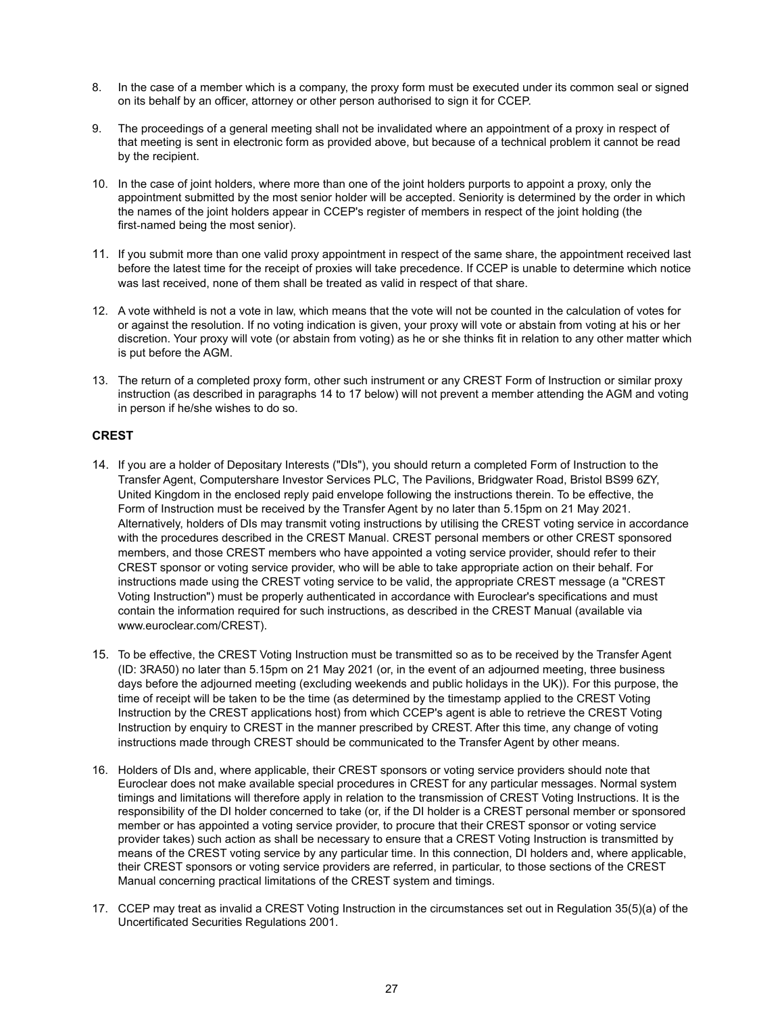- 8. In the case of a member which is a company, the proxy form must be executed under its common seal or signed on its behalf by an officer, attorney or other person authorised to sign it for CCEP.
- 9. The proceedings of a general meeting shall not be invalidated where an appointment of a proxy in respect of that meeting is sent in electronic form as provided above, but because of a technical problem it cannot be read by the recipient.
- 10. In the case of joint holders, where more than one of the joint holders purports to appoint a proxy, only the appointment submitted by the most senior holder will be accepted. Seniority is determined by the order in which the names of the joint holders appear in CCEP's register of members in respect of the joint holding (the first-named being the most senior).
- 11. If you submit more than one valid proxy appointment in respect of the same share, the appointment received last before the latest time for the receipt of proxies will take precedence. If CCEP is unable to determine which notice was last received, none of them shall be treated as valid in respect of that share.
- 12. A vote withheld is not a vote in law, which means that the vote will not be counted in the calculation of votes for or against the resolution. If no voting indication is given, your proxy will vote or abstain from voting at his or her discretion. Your proxy will vote (or abstain from voting) as he or she thinks fit in relation to any other matter which is put before the AGM.
- 13. The return of a completed proxy form, other such instrument or any CREST Form of Instruction or similar proxy instruction (as described in paragraphs 14 to 17 below) will not prevent a member attending the AGM and voting in person if he/she wishes to do so.

## **CREST**

- 14. If you are a holder of Depositary Interests ("DIs"), you should return a completed Form of Instruction to the Transfer Agent, Computershare Investor Services PLC, The Pavilions, Bridgwater Road, Bristol BS99 6ZY, United Kingdom in the enclosed reply paid envelope following the instructions therein. To be effective, the Form of Instruction must be received by the Transfer Agent by no later than 5.15pm on 21 May 2021. Alternatively, holders of DIs may transmit voting instructions by utilising the CREST voting service in accordance with the procedures described in the CREST Manual. CREST personal members or other CREST sponsored members, and those CREST members who have appointed a voting service provider, should refer to their CREST sponsor or voting service provider, who will be able to take appropriate action on their behalf. For instructions made using the CREST voting service to be valid, the appropriate CREST message (a "CREST Voting Instruction") must be properly authenticated in accordance with Euroclear's specifications and must contain the information required for such instructions, as described in the CREST Manual (available via www.euroclear.com/CREST).
- 15. To be effective, the CREST Voting Instruction must be transmitted so as to be received by the Transfer Agent (ID: 3RA50) no later than 5.15pm on 21 May 2021 (or, in the event of an adjourned meeting, three business days before the adjourned meeting (excluding weekends and public holidays in the UK)). For this purpose, the time of receipt will be taken to be the time (as determined by the timestamp applied to the CREST Voting Instruction by the CREST applications host) from which CCEP's agent is able to retrieve the CREST Voting Instruction by enquiry to CREST in the manner prescribed by CREST. After this time, any change of voting instructions made through CREST should be communicated to the Transfer Agent by other means.
- 16. Holders of DIs and, where applicable, their CREST sponsors or voting service providers should note that Euroclear does not make available special procedures in CREST for any particular messages. Normal system timings and limitations will therefore apply in relation to the transmission of CREST Voting Instructions. It is the responsibility of the DI holder concerned to take (or, if the DI holder is a CREST personal member or sponsored member or has appointed a voting service provider, to procure that their CREST sponsor or voting service provider takes) such action as shall be necessary to ensure that a CREST Voting Instruction is transmitted by means of the CREST voting service by any particular time. In this connection, DI holders and, where applicable, their CREST sponsors or voting service providers are referred, in particular, to those sections of the CREST Manual concerning practical limitations of the CREST system and timings.
- 17. CCEP may treat as invalid a CREST Voting Instruction in the circumstances set out in Regulation 35(5)(a) of the Uncertificated Securities Regulations 2001.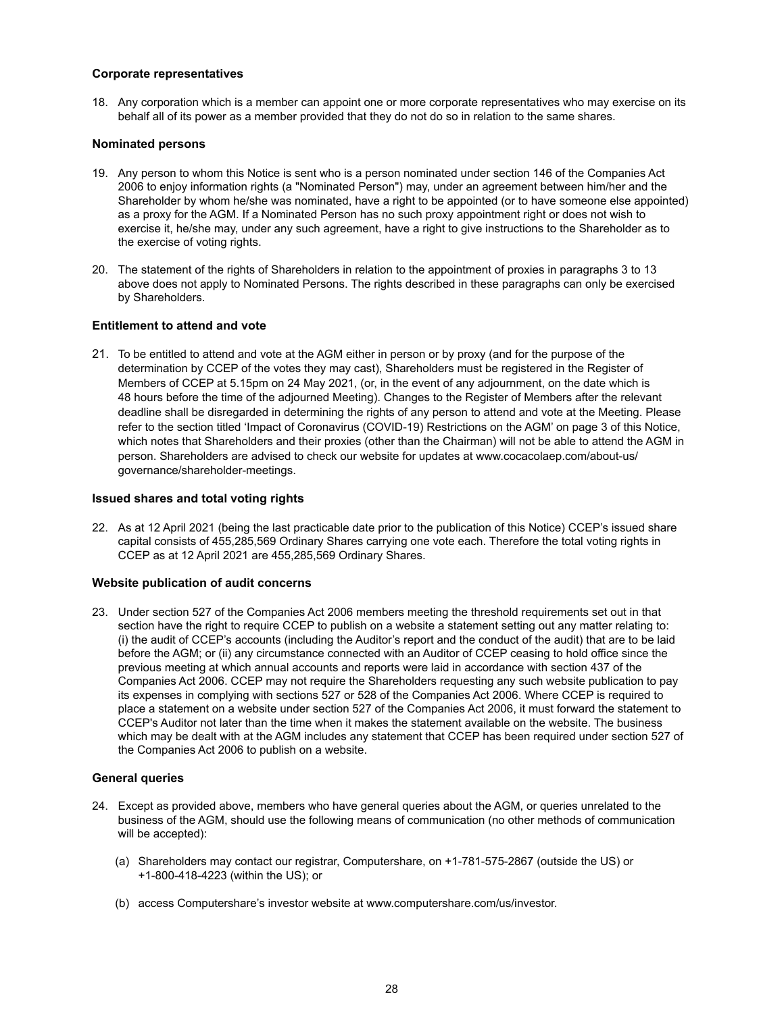#### **Corporate representatives**

18. Any corporation which is a member can appoint one or more corporate representatives who may exercise on its behalf all of its power as a member provided that they do not do so in relation to the same shares.

#### **Nominated persons**

- 19. Any person to whom this Notice is sent who is a person nominated under section 146 of the Companies Act 2006 to enjoy information rights (a "Nominated Person") may, under an agreement between him/her and the Shareholder by whom he/she was nominated, have a right to be appointed (or to have someone else appointed) as a proxy for the AGM. If a Nominated Person has no such proxy appointment right or does not wish to exercise it, he/she may, under any such agreement, have a right to give instructions to the Shareholder as to the exercise of voting rights.
- 20. The statement of the rights of Shareholders in relation to the appointment of proxies in paragraphs 3 to 13 above does not apply to Nominated Persons. The rights described in these paragraphs can only be exercised by Shareholders.

#### **Entitlement to attend and vote**

21. To be entitled to attend and vote at the AGM either in person or by proxy (and for the purpose of the determination by CCEP of the votes they may cast), Shareholders must be registered in the Register of Members of CCEP at 5.15pm on 24 May 2021, (or, in the event of any adjournment, on the date which is 48 hours before the time of the adjourned Meeting). Changes to the Register of Members after the relevant deadline shall be disregarded in determining the rights of any person to attend and vote at the Meeting. Please refer to the section titled 'Impact of Coronavirus (COVID-19) Restrictions on the AGM' on page 3 of this Notice, which notes that Shareholders and their proxies (other than the Chairman) will not be able to attend the AGM in person. Shareholders are advised to check our website for updates at www.cocacolaep.com/about-us/ governance/shareholder-meetings.

#### **Issued shares and total voting rights**

22. As at 12 April 2021 (being the last practicable date prior to the publication of this Notice) CCEP's issued share capital consists of 455,285,569 Ordinary Shares carrying one vote each. Therefore the total voting rights in CCEP as at 12 April 2021 are 455,285,569 Ordinary Shares.

#### **Website publication of audit concerns**

23. Under section 527 of the Companies Act 2006 members meeting the threshold requirements set out in that section have the right to require CCEP to publish on a website a statement setting out any matter relating to: (i) the audit of CCEP's accounts (including the Auditor's report and the conduct of the audit) that are to be laid before the AGM; or (ii) any circumstance connected with an Auditor of CCEP ceasing to hold office since the previous meeting at which annual accounts and reports were laid in accordance with section 437 of the Companies Act 2006. CCEP may not require the Shareholders requesting any such website publication to pay its expenses in complying with sections 527 or 528 of the Companies Act 2006. Where CCEP is required to place a statement on a website under section 527 of the Companies Act 2006, it must forward the statement to CCEP's Auditor not later than the time when it makes the statement available on the website. The business which may be dealt with at the AGM includes any statement that CCEP has been required under section 527 of the Companies Act 2006 to publish on a website.

#### **General queries**

- 24. Except as provided above, members who have general queries about the AGM, or queries unrelated to the business of the AGM, should use the following means of communication (no other methods of communication will be accepted):
	- (a) Shareholders may contact our registrar, Computershare, on +1-781-575-2867 (outside the US) or +1-800-418-4223 (within the US); or
	- (b) access Computershare's investor website at www.computershare.com/us/investor.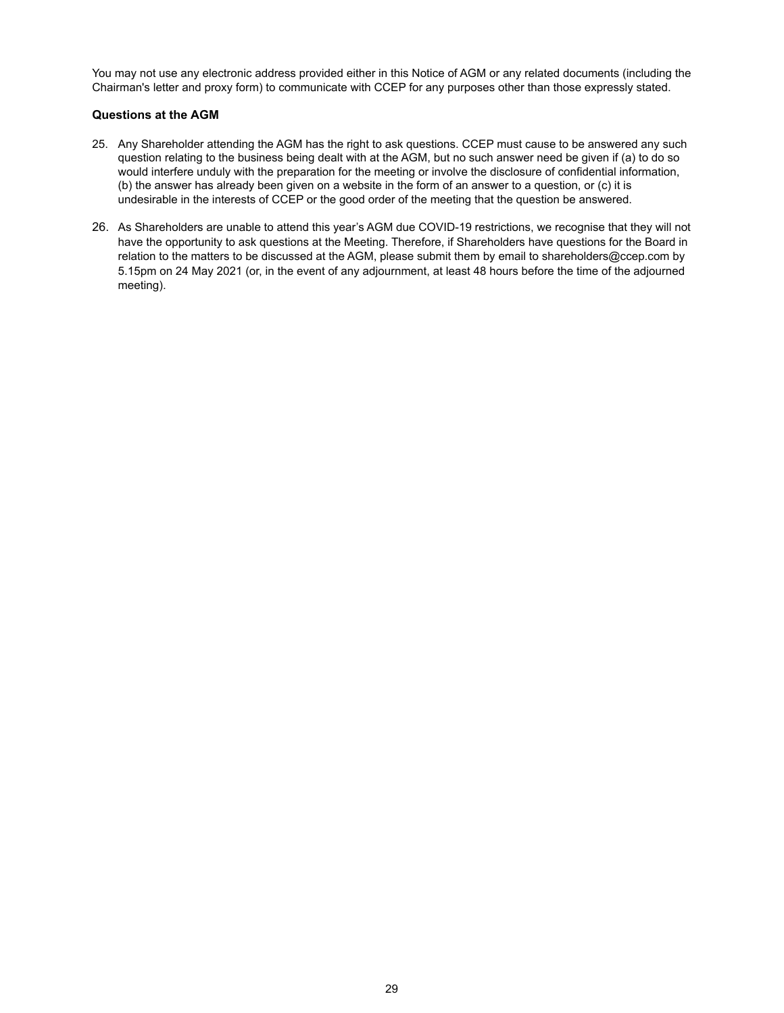You may not use any electronic address provided either in this Notice of AGM or any related documents (including the Chairman's letter and proxy form) to communicate with CCEP for any purposes other than those expressly stated.

## **Questions at the AGM**

- 25. Any Shareholder attending the AGM has the right to ask questions. CCEP must cause to be answered any such question relating to the business being dealt with at the AGM, but no such answer need be given if (a) to do so would interfere unduly with the preparation for the meeting or involve the disclosure of confidential information, (b) the answer has already been given on a website in the form of an answer to a question, or (c) it is undesirable in the interests of CCEP or the good order of the meeting that the question be answered.
- 26. As Shareholders are unable to attend this year's AGM due COVID-19 restrictions, we recognise that they will not have the opportunity to ask questions at the Meeting. Therefore, if Shareholders have questions for the Board in relation to the matters to be discussed at the AGM, please submit them by email to shareholders@ccep.com by 5.15pm on 24 May 2021 (or, in the event of any adjournment, at least 48 hours before the time of the adjourned meeting).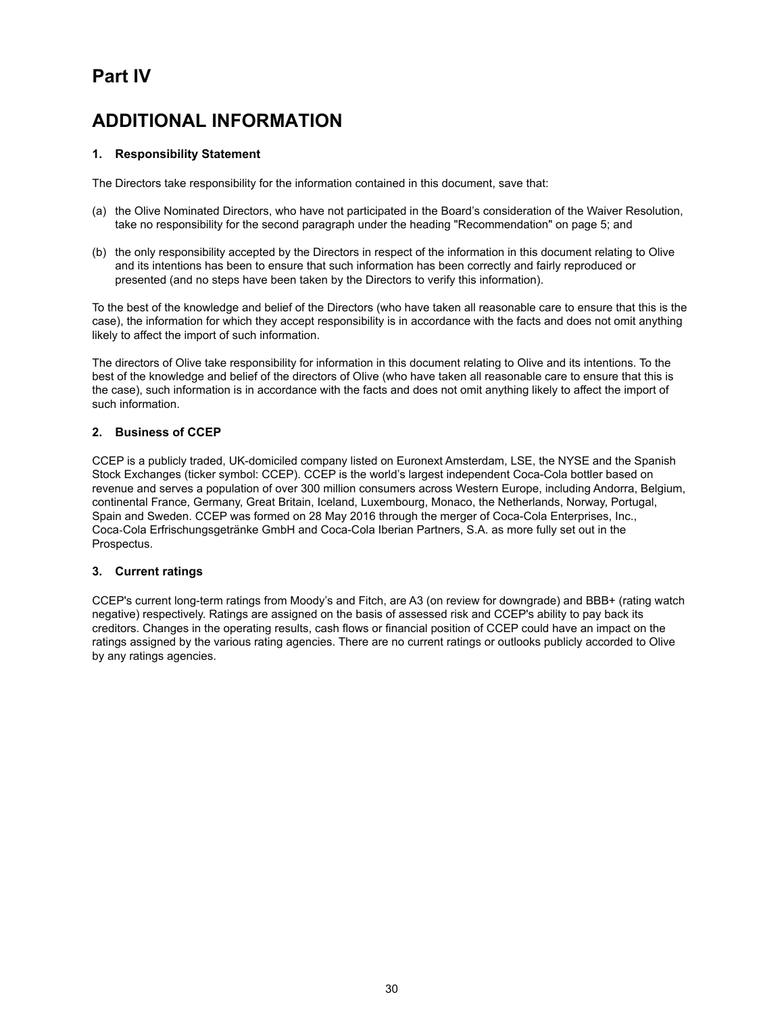# **Part IV**

# **ADDITIONAL INFORMATION**

## **1. Responsibility Statement**

The Directors take responsibility for the information contained in this document, save that:

- (a) the Olive Nominated Directors, who have not participated in the Board's consideration of the Waiver Resolution, take no responsibility for the second paragraph under the heading "Recommendation" on page 5; and
- (b) the only responsibility accepted by the Directors in respect of the information in this document relating to Olive and its intentions has been to ensure that such information has been correctly and fairly reproduced or presented (and no steps have been taken by the Directors to verify this information).

To the best of the knowledge and belief of the Directors (who have taken all reasonable care to ensure that this is the case), the information for which they accept responsibility is in accordance with the facts and does not omit anything likely to affect the import of such information.

The directors of Olive take responsibility for information in this document relating to Olive and its intentions. To the best of the knowledge and belief of the directors of Olive (who have taken all reasonable care to ensure that this is the case), such information is in accordance with the facts and does not omit anything likely to affect the import of such information.

## **2. Business of CCEP**

CCEP is a publicly traded, UK-domiciled company listed on Euronext Amsterdam, LSE, the NYSE and the Spanish Stock Exchanges (ticker symbol: CCEP). CCEP is the world's largest independent Coca-Cola bottler based on revenue and serves a population of over 300 million consumers across Western Europe, including Andorra, Belgium, continental France, Germany, Great Britain, Iceland, Luxembourg, Monaco, the Netherlands, Norway, Portugal, Spain and Sweden. CCEP was formed on 28 May 2016 through the merger of Coca-Cola Enterprises, Inc., Coca‑Cola Erfrischungsgetränke GmbH and Coca-Cola Iberian Partners, S.A. as more fully set out in the Prospectus.

#### **3. Current ratings**

CCEP's current long-term ratings from Moody's and Fitch, are A3 (on review for downgrade) and BBB+ (rating watch negative) respectively. Ratings are assigned on the basis of assessed risk and CCEP's ability to pay back its creditors. Changes in the operating results, cash flows or financial position of CCEP could have an impact on the ratings assigned by the various rating agencies. There are no current ratings or outlooks publicly accorded to Olive by any ratings agencies.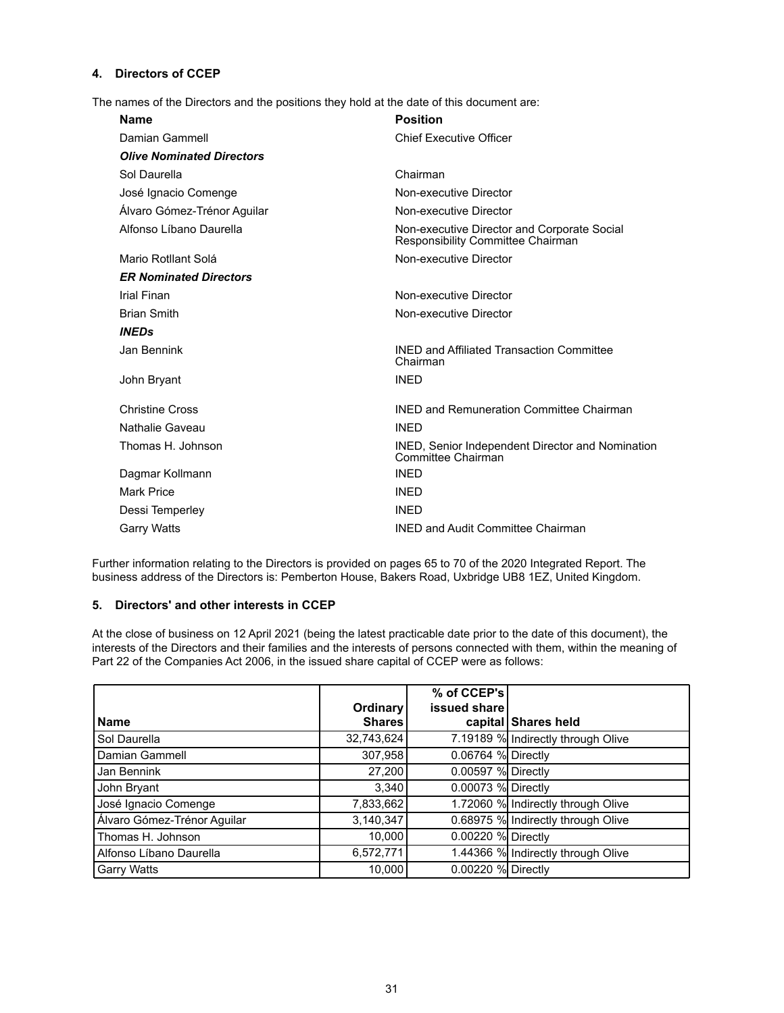## **4. Directors of CCEP**

The names of the Directors and the positions they hold at the date of this document are:

| <b>Name</b>                      | <b>Position</b>                                                                  |
|----------------------------------|----------------------------------------------------------------------------------|
| Damian Gammell                   | <b>Chief Executive Officer</b>                                                   |
| <b>Olive Nominated Directors</b> |                                                                                  |
| Sol Daurella                     | Chairman                                                                         |
| José Ignacio Comenge             | Non-executive Director                                                           |
| Álvaro Gómez-Trénor Aquilar      | Non-executive Director                                                           |
| Alfonso Líbano Daurella          | Non-executive Director and Corporate Social<br>Responsibility Committee Chairman |
| Mario Rotllant Solá              | Non-executive Director                                                           |
| <b>ER Nominated Directors</b>    |                                                                                  |
| Irial Finan                      | Non-executive Director                                                           |
| <b>Brian Smith</b>               | Non-executive Director                                                           |
| <b>INEDs</b>                     |                                                                                  |
| Jan Bennink                      | <b>INED and Affiliated Transaction Committee</b><br>Chairman                     |
| John Bryant                      | <b>INED</b>                                                                      |
| <b>Christine Cross</b>           | <b>INED and Remuneration Committee Chairman</b>                                  |
| Nathalie Gaveau                  | <b>INFD</b>                                                                      |
| Thomas H. Johnson                | INED, Senior Independent Director and Nomination<br>Committee Chairman           |
| Dagmar Kollmann                  | <b>INED</b>                                                                      |
| <b>Mark Price</b>                | <b>INED</b>                                                                      |
| Dessi Temperley                  | <b>INED</b>                                                                      |
| Garry Watts                      | <b>INED and Audit Committee Chairman</b>                                         |

Further information relating to the Directors is provided on pages 65 to 70 of the 2020 Integrated Report. The business address of the Directors is: Pemberton House, Bakers Road, Uxbridge UB8 1EZ, United Kingdom.

#### **5. Directors' and other interests in CCEP**

At the close of business on 12 April 2021 (being the latest practicable date prior to the date of this document), the interests of the Directors and their families and the interests of persons connected with them, within the meaning of Part 22 of the Companies Act 2006, in the issued share capital of CCEP were as follows:

|                             |                 | % of CCEP's        |                                    |
|-----------------------------|-----------------|--------------------|------------------------------------|
|                             | <b>Ordinary</b> | issued share       |                                    |
| <b>Name</b>                 | <b>Shares</b>   |                    | capital Shares held                |
| Sol Daurella                | 32,743,624      |                    | 7.19189 % Indirectly through Olive |
| Damian Gammell              | 307,958         | 0.06764 % Directly |                                    |
| Jan Bennink                 | 27,200          | 0.00597 % Directly |                                    |
| John Bryant                 | 3.340           | 0.00073 % Directly |                                    |
| José Ignacio Comenge        | 7,833,662       |                    | 1.72060 % Indirectly through Olive |
| Álvaro Gómez-Trénor Aguilar | 3,140,347       |                    | 0.68975 % Indirectly through Olive |
| Thomas H. Johnson           | 10.000          | 0.00220 % Directly |                                    |
| Alfonso Líbano Daurella     | 6,572,771       |                    | 1.44366 % Indirectly through Olive |
| <b>Garry Watts</b>          | 10,000          | 0.00220 % Directly |                                    |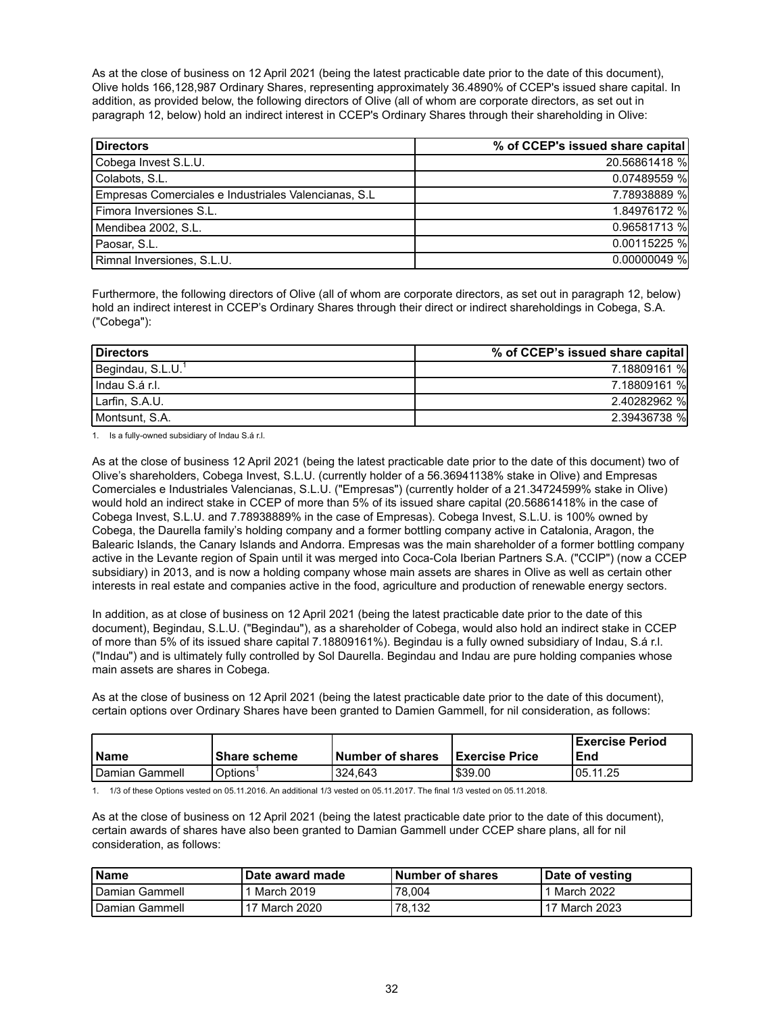As at the close of business on 12 April 2021 (being the latest practicable date prior to the date of this document), Olive holds 166,128,987 Ordinary Shares, representing approximately 36.4890% of CCEP's issued share capital. In addition, as provided below, the following directors of Olive (all of whom are corporate directors, as set out in paragraph 12, below) hold an indirect interest in CCEP's Ordinary Shares through their shareholding in Olive:

| <b>Directors</b>                                      | % of CCEP's issued share capital |
|-------------------------------------------------------|----------------------------------|
| Cobega Invest S.L.U.                                  | 20.56861418 %                    |
| Colabots, S.L.                                        | 0.07489559 %                     |
| Empresas Comerciales e Industriales Valencianas, S.L. | 7.78938889 %                     |
| Fimora Inversiones S.L.                               | 1.84976172 %                     |
| Mendibea 2002, S.L.                                   | 0.96581713 %                     |
| Paosar, S.L.                                          | 0.00115225 %                     |
| Rimnal Inversiones, S.L.U.                            | $0.00000049$ %                   |

Furthermore, the following directors of Olive (all of whom are corporate directors, as set out in paragraph 12, below) hold an indirect interest in CCEP's Ordinary Shares through their direct or indirect shareholdings in Cobega, S.A. ("Cobega"):

| Directors                     | % of CCEP's issued share capital |
|-------------------------------|----------------------------------|
| Begindau, S.L.U. <sup>1</sup> | 7.18809161 %                     |
| Indau S.á r.l.                | 7.18809161 %                     |
| Larfin, S.A.U.                | 2.40282962 %                     |
| Montsunt. S.A.                | 2.39436738 %                     |

1. Is a fully-owned subsidiary of Indau S.á r.l.

As at the close of business 12 April 2021 (being the latest practicable date prior to the date of this document) two of Olive's shareholders, Cobega Invest, S.L.U. (currently holder of a 56.36941138% stake in Olive) and Empresas Comerciales e Industriales Valencianas, S.L.U. ("Empresas") (currently holder of a 21.34724599% stake in Olive) would hold an indirect stake in CCEP of more than 5% of its issued share capital (20.56861418% in the case of Cobega Invest, S.L.U. and 7.78938889% in the case of Empresas). Cobega Invest, S.L.U. is 100% owned by Cobega, the Daurella family's holding company and a former bottling company active in Catalonia, Aragon, the Balearic Islands, the Canary Islands and Andorra. Empresas was the main shareholder of a former bottling company active in the Levante region of Spain until it was merged into Coca-Cola Iberian Partners S.A. ("CCIP") (now a CCEP subsidiary) in 2013, and is now a holding company whose main assets are shares in Olive as well as certain other interests in real estate and companies active in the food, agriculture and production of renewable energy sectors.

In addition, as at close of business on 12 April 2021 (being the latest practicable date prior to the date of this document), Begindau, S.L.U. ("Begindau"), as a shareholder of Cobega, would also hold an indirect stake in CCEP of more than 5% of its issued share capital 7.18809161%). Begindau is a fully owned subsidiary of Indau, S.á r.l. ("Indau") and is ultimately fully controlled by Sol Daurella. Begindau and Indau are pure holding companies whose main assets are shares in Cobega.

As at the close of business on 12 April 2021 (being the latest practicable date prior to the date of this document), certain options over Ordinary Shares have been granted to Damien Gammell, for nil consideration, as follows:

|                  |                |                         |                        | l Exercise Period |
|------------------|----------------|-------------------------|------------------------|-------------------|
| l Name           | l Share scheme | <b>Number of shares</b> | <b>IExercise Price</b> | <b>End</b>        |
| l Damian Gammell | Options        | 324.643                 | 539.00 ا               | 05.11.25          |

1. 1/3 of these Options vested on 05.11.2016. An additional 1/3 vested on 05.11.2017. The final 1/3 vested on 05.11.2018.

As at the close of business on 12 April 2021 (being the latest practicable date prior to the date of this document), certain awards of shares have also been granted to Damian Gammell under CCEP share plans, all for nil consideration, as follows:

| <b>I</b> Name    | Date award made | Number of shares | Date of vesting |
|------------------|-----------------|------------------|-----------------|
| l Damian Gammell | 1 March 2019    | 78.004           | ' 1 March 2022  |
| l Damian Gammell | 17 March 2020   | 78.132           | 17 March 2023   |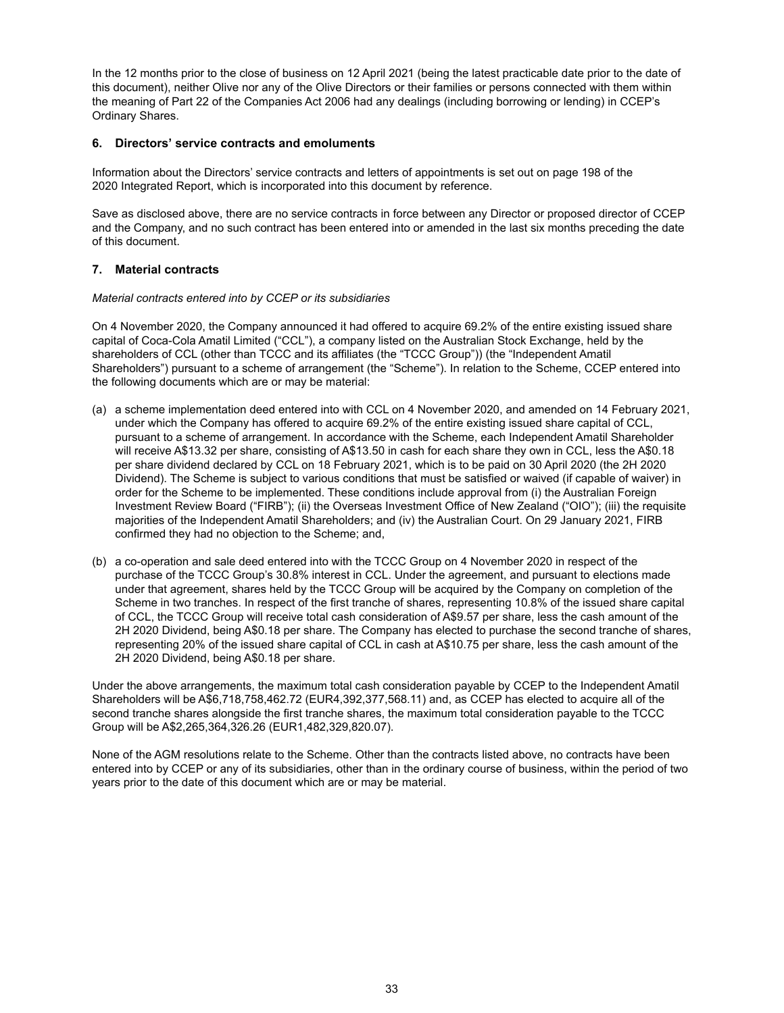In the 12 months prior to the close of business on 12 April 2021 (being the latest practicable date prior to the date of this document), neither Olive nor any of the Olive Directors or their families or persons connected with them within the meaning of Part 22 of the Companies Act 2006 had any dealings (including borrowing or lending) in CCEP's Ordinary Shares.

## **6. Directors' service contracts and emoluments**

Information about the Directors' service contracts and letters of appointments is set out on page 198 of the 2020 Integrated Report, which is incorporated into this document by reference.

Save as disclosed above, there are no service contracts in force between any Director or proposed director of CCEP and the Company, and no such contract has been entered into or amended in the last six months preceding the date of this document.

## **7. Material contracts**

#### *Material contracts entered into by CCEP or its subsidiaries*

On 4 November 2020, the Company announced it had offered to acquire 69.2% of the entire existing issued share capital of Coca-Cola Amatil Limited ("CCL"), a company listed on the Australian Stock Exchange, held by the shareholders of CCL (other than TCCC and its affiliates (the "TCCC Group")) (the "Independent Amatil Shareholders") pursuant to a scheme of arrangement (the "Scheme"). In relation to the Scheme, CCEP entered into the following documents which are or may be material:

- (a) a scheme implementation deed entered into with CCL on 4 November 2020, and amended on 14 February 2021, under which the Company has offered to acquire 69.2% of the entire existing issued share capital of CCL, pursuant to a scheme of arrangement. In accordance with the Scheme, each Independent Amatil Shareholder will receive A\$13.32 per share, consisting of A\$13.50 in cash for each share they own in CCL, less the A\$0.18 per share dividend declared by CCL on 18 February 2021, which is to be paid on 30 April 2020 (the 2H 2020 Dividend). The Scheme is subject to various conditions that must be satisfied or waived (if capable of waiver) in order for the Scheme to be implemented. These conditions include approval from (i) the Australian Foreign Investment Review Board ("FIRB"); (ii) the Overseas Investment Office of New Zealand ("OIO"); (iii) the requisite majorities of the Independent Amatil Shareholders; and (iv) the Australian Court. On 29 January 2021, FIRB confirmed they had no objection to the Scheme; and,
- (b) a co-operation and sale deed entered into with the TCCC Group on 4 November 2020 in respect of the purchase of the TCCC Group's 30.8% interest in CCL. Under the agreement, and pursuant to elections made under that agreement, shares held by the TCCC Group will be acquired by the Company on completion of the Scheme in two tranches. In respect of the first tranche of shares, representing 10.8% of the issued share capital of CCL, the TCCC Group will receive total cash consideration of A\$9.57 per share, less the cash amount of the 2H 2020 Dividend, being A\$0.18 per share. The Company has elected to purchase the second tranche of shares, representing 20% of the issued share capital of CCL in cash at A\$10.75 per share, less the cash amount of the 2H 2020 Dividend, being A\$0.18 per share.

Under the above arrangements, the maximum total cash consideration payable by CCEP to the Independent Amatil Shareholders will be A\$6,718,758,462.72 (EUR4,392,377,568.11) and, as CCEP has elected to acquire all of the second tranche shares alongside the first tranche shares, the maximum total consideration payable to the TCCC Group will be A\$2,265,364,326.26 (EUR1,482,329,820.07).

None of the AGM resolutions relate to the Scheme. Other than the contracts listed above, no contracts have been entered into by CCEP or any of its subsidiaries, other than in the ordinary course of business, within the period of two years prior to the date of this document which are or may be material.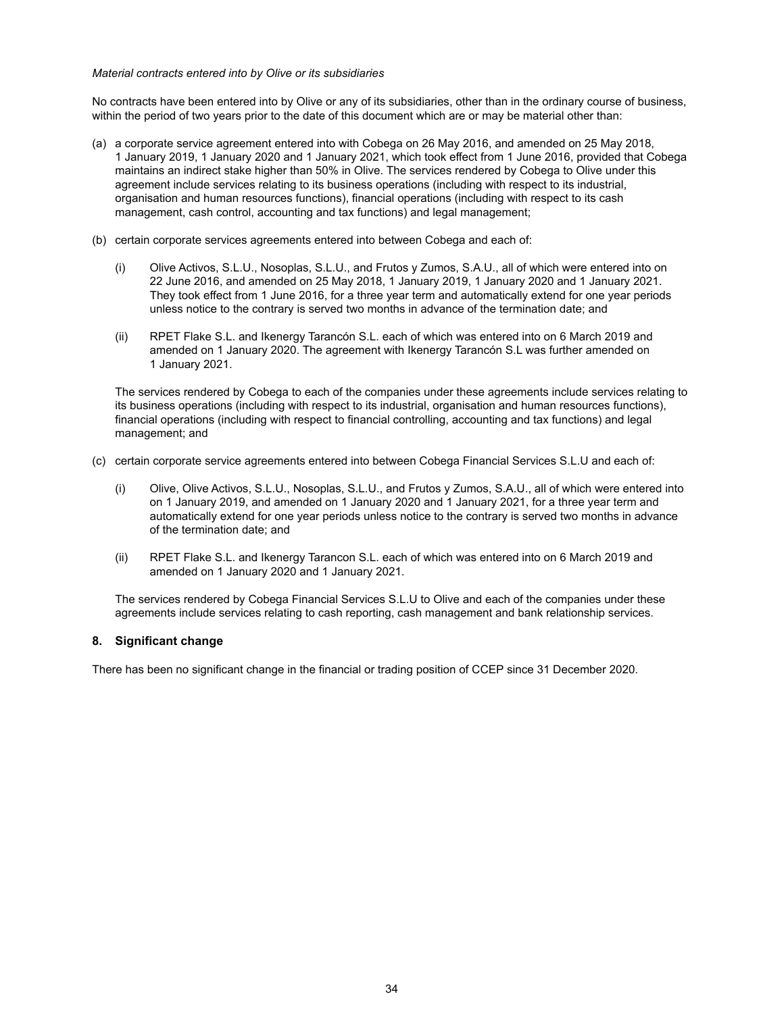#### *Material contracts entered into by Olive or its subsidiaries*

No contracts have been entered into by Olive or any of its subsidiaries, other than in the ordinary course of business, within the period of two years prior to the date of this document which are or may be material other than:

- (a) a corporate service agreement entered into with Cobega on 26 May 2016, and amended on 25 May 2018, 1 January 2019, 1 January 2020 and 1 January 2021, which took effect from 1 June 2016, provided that Cobega maintains an indirect stake higher than 50% in Olive. The services rendered by Cobega to Olive under this agreement include services relating to its business operations (including with respect to its industrial, organisation and human resources functions), financial operations (including with respect to its cash management, cash control, accounting and tax functions) and legal management;
- (b) certain corporate services agreements entered into between Cobega and each of:
	- (i) Olive Activos, S.L.U., Nosoplas, S.L.U., and Frutos y Zumos, S.A.U., all of which were entered into on 22 June 2016, and amended on 25 May 2018, 1 January 2019, 1 January 2020 and 1 January 2021. They took effect from 1 June 2016, for a three year term and automatically extend for one year periods unless notice to the contrary is served two months in advance of the termination date; and
	- (ii) RPET Flake S.L. and Ikenergy Tarancón S.L. each of which was entered into on 6 March 2019 and amended on 1 January 2020. The agreement with Ikenergy Tarancón S.L was further amended on 1 January 2021.

The services rendered by Cobega to each of the companies under these agreements include services relating to its business operations (including with respect to its industrial, organisation and human resources functions), financial operations (including with respect to financial controlling, accounting and tax functions) and legal management; and

- (c) certain corporate service agreements entered into between Cobega Financial Services S.L.U and each of:
	- (i) Olive, Olive Activos, S.L.U., Nosoplas, S.L.U., and Frutos y Zumos, S.A.U., all of which were entered into on 1 January 2019, and amended on 1 January 2020 and 1 January 2021, for a three year term and automatically extend for one year periods unless notice to the contrary is served two months in advance of the termination date; and
	- (ii) RPET Flake S.L. and Ikenergy Tarancon S.L. each of which was entered into on 6 March 2019 and amended on 1 January 2020 and 1 January 2021.

The services rendered by Cobega Financial Services S.L.U to Olive and each of the companies under these agreements include services relating to cash reporting, cash management and bank relationship services.

## **8. Significant change**

There has been no significant change in the financial or trading position of CCEP since 31 December 2020.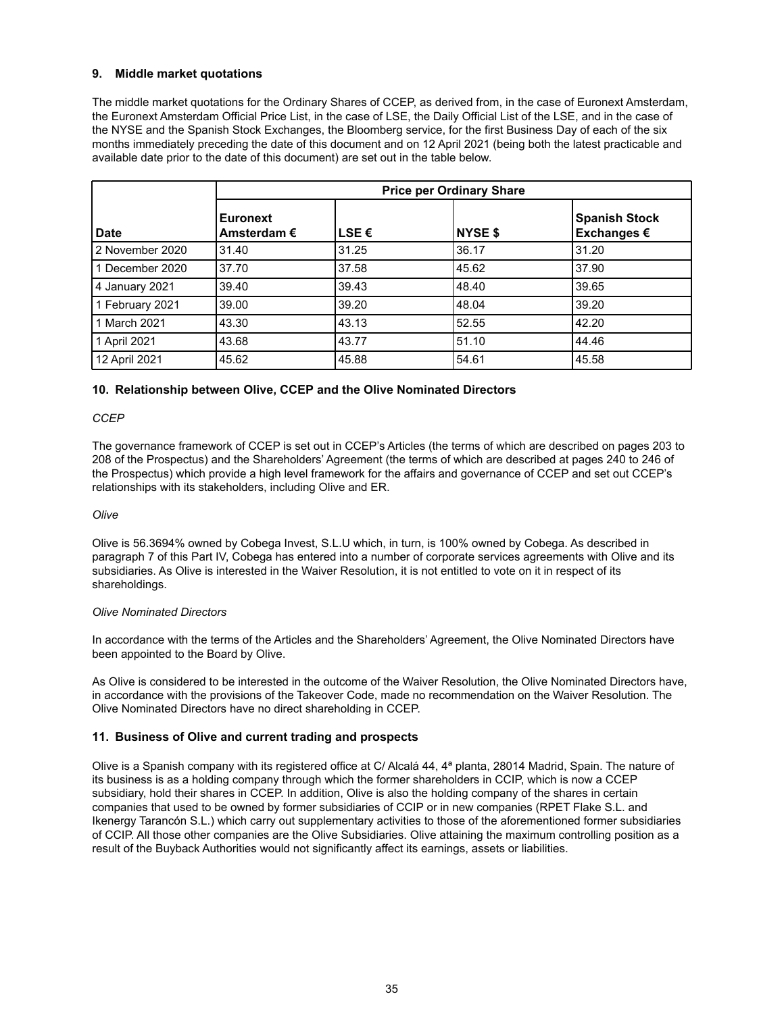## **9. Middle market quotations**

The middle market quotations for the Ordinary Shares of CCEP, as derived from, in the case of Euronext Amsterdam, the Euronext Amsterdam Official Price List, in the case of LSE, the Daily Official List of the LSE, and in the case of the NYSE and the Spanish Stock Exchanges, the Bloomberg service, for the first Business Day of each of the six months immediately preceding the date of this document and on 12 April 2021 (being both the latest practicable and available date prior to the date of this document) are set out in the table below.

|                   | <b>Price per Ordinary Share</b>         |                |                |                                     |
|-------------------|-----------------------------------------|----------------|----------------|-------------------------------------|
| Date              | <b>Euronext</b><br>Amsterdam $\epsilon$ | LSE $\epsilon$ | <b>NYSE \$</b> | <b>Spanish Stock</b><br>Exchanges € |
| l 2 November 2020 | 31.40                                   | 31.25          | 36.17          | 31.20                               |
| l 1 December 2020 | 37.70                                   | 37.58          | 45.62          | 37.90                               |
| 4 January 2021    | 39.40                                   | 39.43          | 48.40          | 39.65                               |
| 1 February 2021   | 39.00                                   | 39.20          | 48.04          | 39.20                               |
| l 1 March 2021    | 43.30                                   | 43.13          | 52.55          | 42.20                               |
| 1 April 2021      | 43.68                                   | 43.77          | 51.10          | 44.46                               |
| 12 April 2021     | 45.62                                   | 45.88          | 54.61          | 45.58                               |

#### **10. Relationship between Olive, CCEP and the Olive Nominated Directors**

#### *CCEP*

The governance framework of CCEP is set out in CCEP's Articles (the terms of which are described on pages 203 to 208 of the Prospectus) and the Shareholders' Agreement (the terms of which are described at pages 240 to 246 of the Prospectus) which provide a high level framework for the affairs and governance of CCEP and set out CCEP's relationships with its stakeholders, including Olive and ER.

#### *Olive*

Olive is 56.3694% owned by Cobega Invest, S.L.U which, in turn, is 100% owned by Cobega. As described in paragraph 7 of this Part IV, Cobega has entered into a number of corporate services agreements with Olive and its subsidiaries. As Olive is interested in the Waiver Resolution, it is not entitled to vote on it in respect of its shareholdings.

#### *Olive Nominated Directors*

In accordance with the terms of the Articles and the Shareholders' Agreement, the Olive Nominated Directors have been appointed to the Board by Olive.

As Olive is considered to be interested in the outcome of the Waiver Resolution, the Olive Nominated Directors have, in accordance with the provisions of the Takeover Code, made no recommendation on the Waiver Resolution. The Olive Nominated Directors have no direct shareholding in CCEP.

#### **11. Business of Olive and current trading and prospects**

Olive is a Spanish company with its registered office at C/ Alcalá 44, 4ª planta, 28014 Madrid, Spain. The nature of its business is as a holding company through which the former shareholders in CCIP, which is now a CCEP subsidiary, hold their shares in CCEP. In addition, Olive is also the holding company of the shares in certain companies that used to be owned by former subsidiaries of CCIP or in new companies (RPET Flake S.L. and Ikenergy Tarancón S.L.) which carry out supplementary activities to those of the aforementioned former subsidiaries of CCIP. All those other companies are the Olive Subsidiaries. Olive attaining the maximum controlling position as a result of the Buyback Authorities would not significantly affect its earnings, assets or liabilities.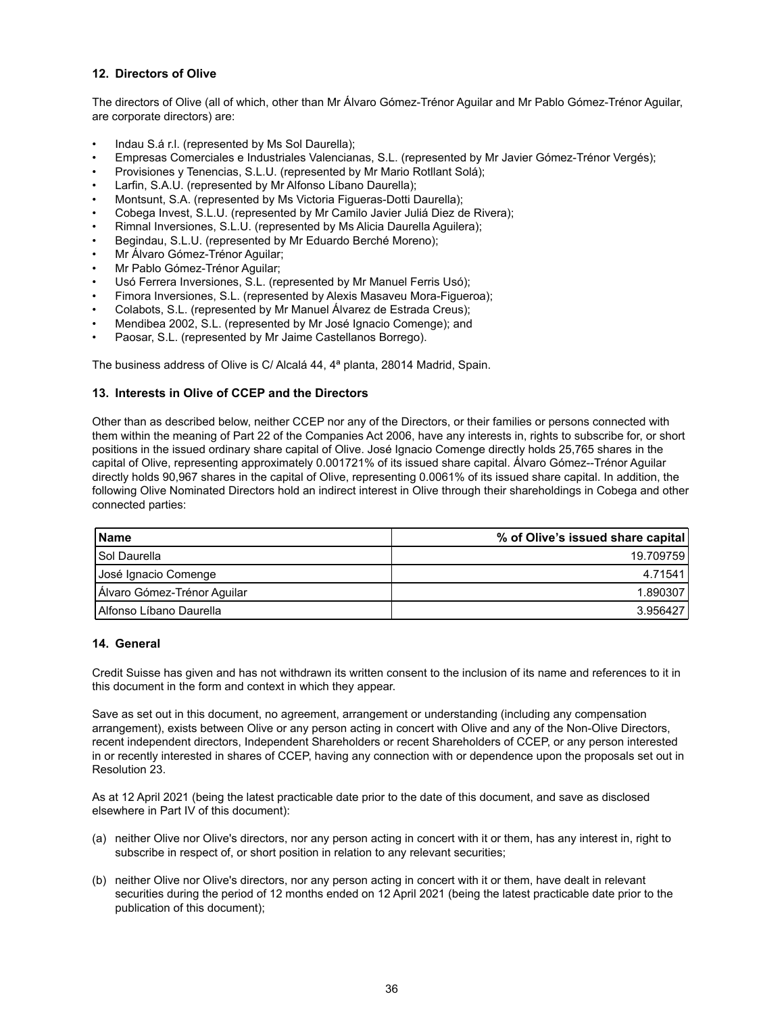## **12. Directors of Olive**

The directors of Olive (all of which, other than Mr Álvaro Gómez-Trénor Aguilar and Mr Pablo Gómez-Trénor Aguilar, are corporate directors) are:

- Indau S.á r.l. (represented by Ms Sol Daurella);
- Empresas Comerciales e Industriales Valencianas, S.L. (represented by Mr Javier Gómez-Trénor Vergés);
- Provisiones y Tenencias, S.L.U. (represented by Mr Mario Rotllant Solá);
- Larfin, S.A.U. (represented by Mr Alfonso Líbano Daurella);
- Montsunt, S.A. (represented by Ms Victoria Figueras-Dotti Daurella);
- Cobega Invest, S.L.U. (represented by Mr Camilo Javier Juliá Diez de Rivera);
- Rimnal Inversiones, S.L.U. (represented by Ms Alicia Daurella Aguilera);
- Begindau, S.L.U. (represented by Mr Eduardo Berché Moreno);
- Mr Álvaro Gómez-Trénor Aguilar;
- Mr Pablo Gómez-Trénor Aguilar;
- Usó Ferrera Inversiones, S.L. (represented by Mr Manuel Ferris Usó);
- Fimora Inversiones, S.L. (represented by Alexis Masaveu Mora-Figueroa);
- Colabots, S.L. (represented by Mr Manuel Álvarez de Estrada Creus);
- Mendibea 2002, S.L. (represented by Mr José Ignacio Comenge); and
- Paosar, S.L. (represented by Mr Jaime Castellanos Borrego).

The business address of Olive is C/ Alcalá 44, 4ª planta, 28014 Madrid, Spain.

## **13. Interests in Olive of CCEP and the Directors**

Other than as described below, neither CCEP nor any of the Directors, or their families or persons connected with them within the meaning of Part 22 of the Companies Act 2006, have any interests in, rights to subscribe for, or short positions in the issued ordinary share capital of Olive. José Ignacio Comenge directly holds 25,765 shares in the capital of Olive, representing approximately 0.001721% of its issued share capital. Álvaro Gómez--Trénor Aguilar directly holds 90,967 shares in the capital of Olive, representing 0.0061% of its issued share capital. In addition, the following Olive Nominated Directors hold an indirect interest in Olive through their shareholdings in Cobega and other connected parties:

| l Name                      | % of Olive's issued share capital |
|-----------------------------|-----------------------------------|
| l Sol Daurella              | 19.7097591                        |
| Uosé Ignacio Comenge        | 4.71541                           |
| Álvaro Gómez-Trénor Aguilar | 1.890307                          |
| l Alfonso Líbano Daurella   | 3.956427                          |

#### **14. General**

Credit Suisse has given and has not withdrawn its written consent to the inclusion of its name and references to it in this document in the form and context in which they appear.

Save as set out in this document, no agreement, arrangement or understanding (including any compensation arrangement), exists between Olive or any person acting in concert with Olive and any of the Non-Olive Directors, recent independent directors, Independent Shareholders or recent Shareholders of CCEP, or any person interested in or recently interested in shares of CCEP, having any connection with or dependence upon the proposals set out in Resolution 23.

As at 12 April 2021 (being the latest practicable date prior to the date of this document, and save as disclosed elsewhere in Part IV of this document):

- (a) neither Olive nor Olive's directors, nor any person acting in concert with it or them, has any interest in, right to subscribe in respect of, or short position in relation to any relevant securities;
- (b) neither Olive nor Olive's directors, nor any person acting in concert with it or them, have dealt in relevant securities during the period of 12 months ended on 12 April 2021 (being the latest practicable date prior to the publication of this document);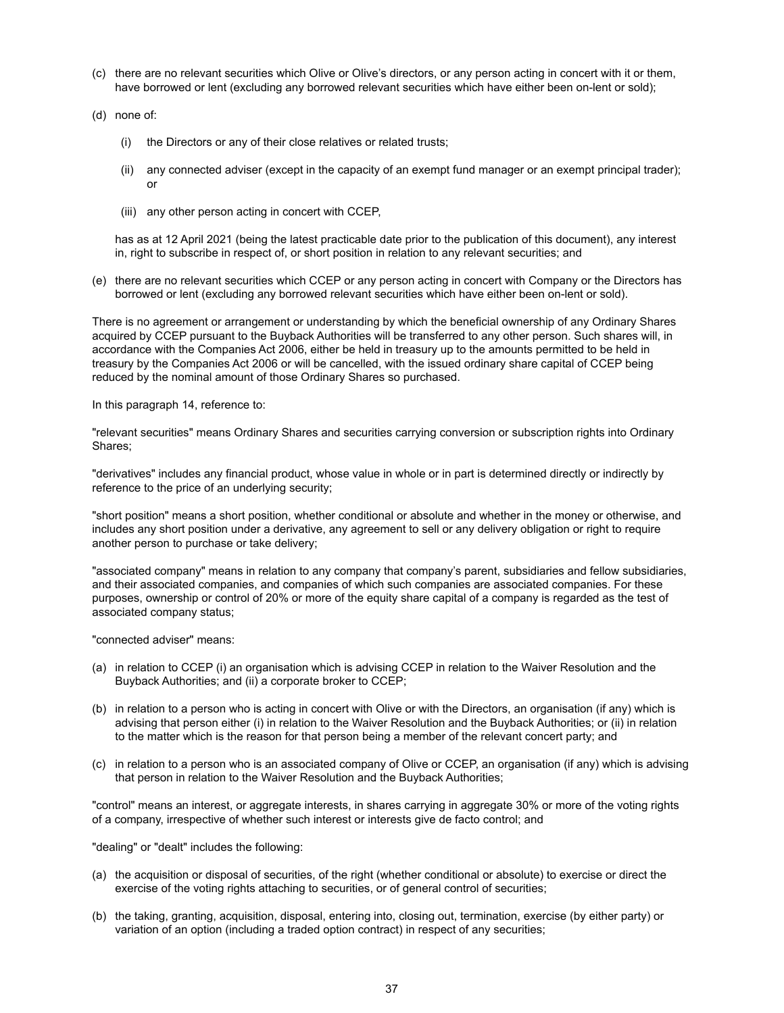- (c) there are no relevant securities which Olive or Olive's directors, or any person acting in concert with it or them, have borrowed or lent (excluding any borrowed relevant securities which have either been on-lent or sold);
- (d) none of:
	- (i) the Directors or any of their close relatives or related trusts;
	- (ii) any connected adviser (except in the capacity of an exempt fund manager or an exempt principal trader); or
	- (iii) any other person acting in concert with CCEP,

has as at 12 April 2021 (being the latest practicable date prior to the publication of this document), any interest in, right to subscribe in respect of, or short position in relation to any relevant securities; and

(e) there are no relevant securities which CCEP or any person acting in concert with Company or the Directors has borrowed or lent (excluding any borrowed relevant securities which have either been on-lent or sold).

There is no agreement or arrangement or understanding by which the beneficial ownership of any Ordinary Shares acquired by CCEP pursuant to the Buyback Authorities will be transferred to any other person. Such shares will, in accordance with the Companies Act 2006, either be held in treasury up to the amounts permitted to be held in treasury by the Companies Act 2006 or will be cancelled, with the issued ordinary share capital of CCEP being reduced by the nominal amount of those Ordinary Shares so purchased.

In this paragraph 14, reference to:

"relevant securities" means Ordinary Shares and securities carrying conversion or subscription rights into Ordinary Shares;

"derivatives" includes any financial product, whose value in whole or in part is determined directly or indirectly by reference to the price of an underlying security;

"short position" means a short position, whether conditional or absolute and whether in the money or otherwise, and includes any short position under a derivative, any agreement to sell or any delivery obligation or right to require another person to purchase or take delivery;

"associated company" means in relation to any company that company's parent, subsidiaries and fellow subsidiaries, and their associated companies, and companies of which such companies are associated companies. For these purposes, ownership or control of 20% or more of the equity share capital of a company is regarded as the test of associated company status;

"connected adviser" means:

- (a) in relation to CCEP (i) an organisation which is advising CCEP in relation to the Waiver Resolution and the Buyback Authorities; and (ii) a corporate broker to CCEP;
- (b) in relation to a person who is acting in concert with Olive or with the Directors, an organisation (if any) which is advising that person either (i) in relation to the Waiver Resolution and the Buyback Authorities; or (ii) in relation to the matter which is the reason for that person being a member of the relevant concert party; and
- (c) in relation to a person who is an associated company of Olive or CCEP, an organisation (if any) which is advising that person in relation to the Waiver Resolution and the Buyback Authorities;

"control" means an interest, or aggregate interests, in shares carrying in aggregate 30% or more of the voting rights of a company, irrespective of whether such interest or interests give de facto control; and

"dealing" or "dealt" includes the following:

- (a) the acquisition or disposal of securities, of the right (whether conditional or absolute) to exercise or direct the exercise of the voting rights attaching to securities, or of general control of securities;
- (b) the taking, granting, acquisition, disposal, entering into, closing out, termination, exercise (by either party) or variation of an option (including a traded option contract) in respect of any securities;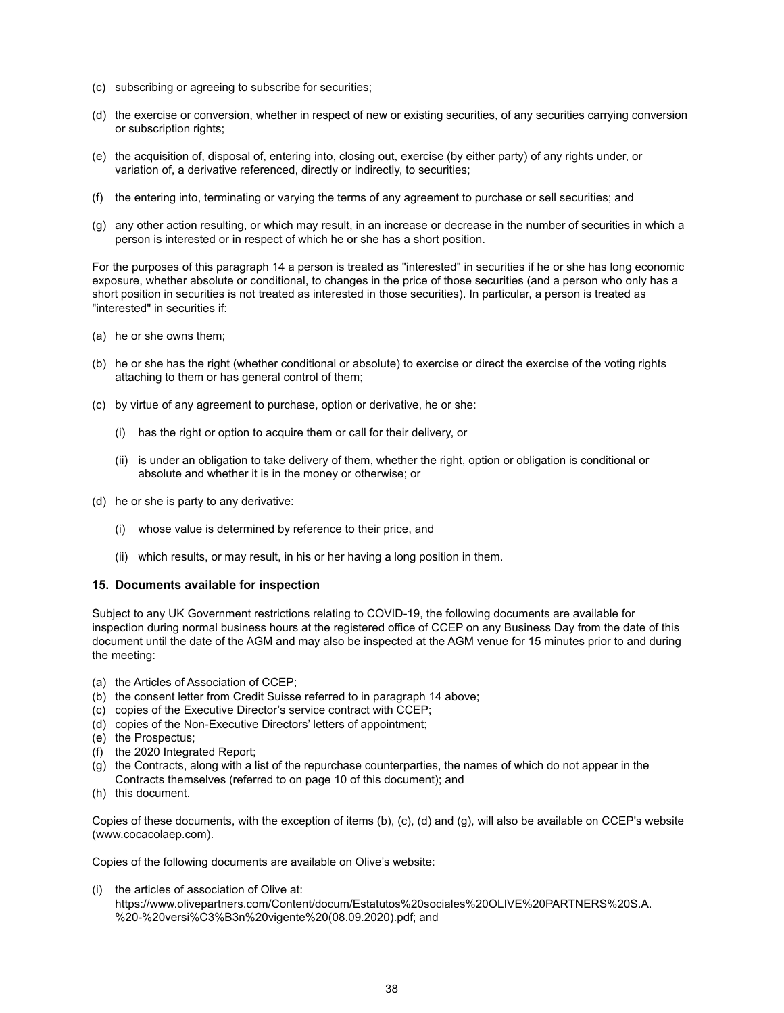- (c) subscribing or agreeing to subscribe for securities;
- (d) the exercise or conversion, whether in respect of new or existing securities, of any securities carrying conversion or subscription rights;
- (e) the acquisition of, disposal of, entering into, closing out, exercise (by either party) of any rights under, or variation of, a derivative referenced, directly or indirectly, to securities;
- (f) the entering into, terminating or varying the terms of any agreement to purchase or sell securities; and
- (g) any other action resulting, or which may result, in an increase or decrease in the number of securities in which a person is interested or in respect of which he or she has a short position.

For the purposes of this paragraph 14 a person is treated as "interested" in securities if he or she has long economic exposure, whether absolute or conditional, to changes in the price of those securities (and a person who only has a short position in securities is not treated as interested in those securities). In particular, a person is treated as "interested" in securities if:

- (a) he or she owns them;
- (b) he or she has the right (whether conditional or absolute) to exercise or direct the exercise of the voting rights attaching to them or has general control of them;
- (c) by virtue of any agreement to purchase, option or derivative, he or she:
	- (i) has the right or option to acquire them or call for their delivery, or
	- (ii) is under an obligation to take delivery of them, whether the right, option or obligation is conditional or absolute and whether it is in the money or otherwise; or
- (d) he or she is party to any derivative:
	- (i) whose value is determined by reference to their price, and
	- (ii) which results, or may result, in his or her having a long position in them.

#### **15. Documents available for inspection**

Subject to any UK Government restrictions relating to COVID-19, the following documents are available for inspection during normal business hours at the registered office of CCEP on any Business Day from the date of this document until the date of the AGM and may also be inspected at the AGM venue for 15 minutes prior to and during the meeting:

- (a) the Articles of Association of CCEP;
- (b) the consent letter from Credit Suisse referred to in paragraph 14 above;
- (c) copies of the Executive Director's service contract with CCEP;
- (d) copies of the Non-Executive Directors' letters of appointment;
- (e) the Prospectus;
- (f) the 2020 Integrated Report;
- (g) the Contracts, along with a list of the repurchase counterparties, the names of which do not appear in the Contracts themselves (referred to on page 10 of this document); and
- (h) this document.

Copies of these documents, with the exception of items (b), (c), (d) and (g), will also be available on CCEP's website (www.cocacolaep.com).

Copies of the following documents are available on Olive's website:

(i) the articles of association of Olive at: https://www.olivepartners.com/Content/docum/Estatutos%20sociales%20OLIVE%20PARTNERS%20S.A. %20-%20versi%C3%B3n%20vigente%20(08.09.2020).pdf; and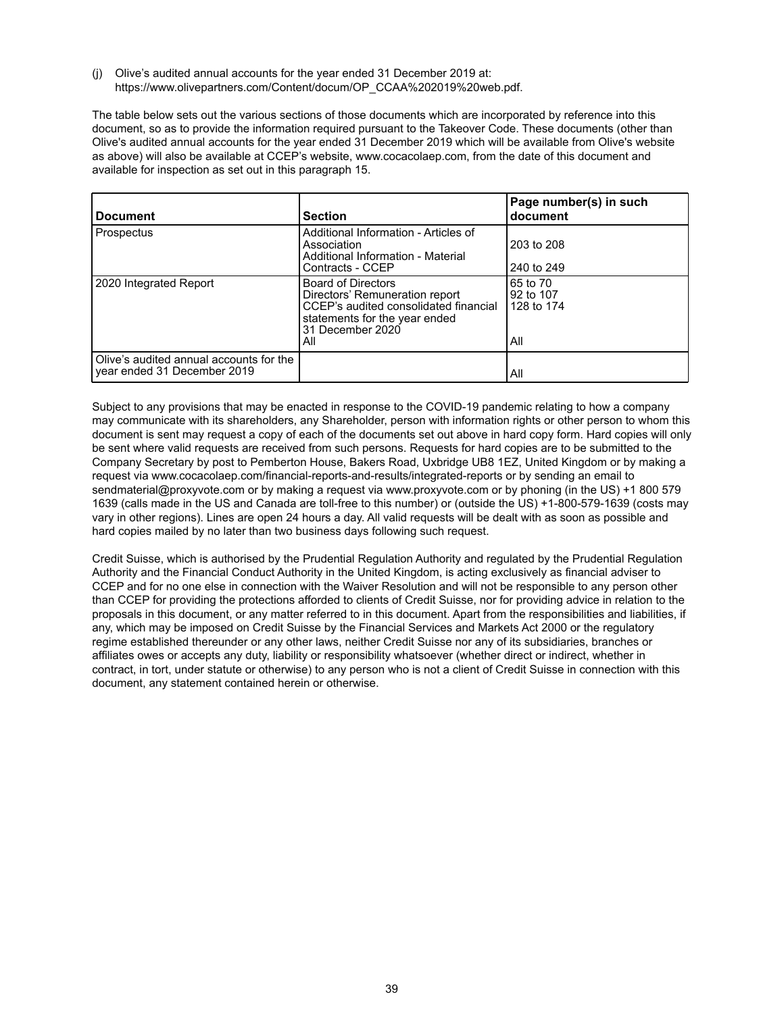(j) Olive's audited annual accounts for the year ended 31 December 2019 at: https://www.olivepartners.com/Content/docum/OP\_CCAA%202019%20web.pdf.

The table below sets out the various sections of those documents which are incorporated by reference into this document, so as to provide the information required pursuant to the Takeover Code. These documents (other than Olive's audited annual accounts for the year ended 31 December 2019 which will be available from Olive's website as above) will also be available at CCEP's website, www.cocacolaep.com, from the date of this document and available for inspection as set out in this paragraph 15.

| <b>Document</b>                                                        | <b>Section</b>                                                                                                                                                   | Page number(s) in such<br>document         |
|------------------------------------------------------------------------|------------------------------------------------------------------------------------------------------------------------------------------------------------------|--------------------------------------------|
| Prospectus                                                             | Additional Information - Articles of<br>Association<br>Additional Information - Material<br>Contracts - CCEP                                                     | 203 to 208<br>240 to 249                   |
| 2020 Integrated Report                                                 | <b>Board of Directors</b><br>Directors' Remuneration report<br>CCEP's audited consolidated financial<br>statements for the year ended<br>31 December 2020<br>All | 65 to 70<br>92 to 107<br>128 to 174<br>All |
| Olive's audited annual accounts for the<br>year ended 31 December 2019 |                                                                                                                                                                  | All                                        |

Subject to any provisions that may be enacted in response to the COVID-19 pandemic relating to how a company may communicate with its shareholders, any Shareholder, person with information rights or other person to whom this document is sent may request a copy of each of the documents set out above in hard copy form. Hard copies will only be sent where valid requests are received from such persons. Requests for hard copies are to be submitted to the Company Secretary by post to Pemberton House, Bakers Road, Uxbridge UB8 1EZ, United Kingdom or by making a request via www.cocacolaep.com/financial-reports-and-results/integrated-reports or by sending an email to sendmaterial@proxyvote.com or by making a request via www.proxyvote.com or by phoning (in the US) +1 800 579 1639 (calls made in the US and Canada are toll-free to this number) or (outside the US) +1-800-579-1639 (costs may vary in other regions). Lines are open 24 hours a day. All valid requests will be dealt with as soon as possible and hard copies mailed by no later than two business days following such request.

Credit Suisse, which is authorised by the Prudential Regulation Authority and regulated by the Prudential Regulation Authority and the Financial Conduct Authority in the United Kingdom, is acting exclusively as financial adviser to CCEP and for no one else in connection with the Waiver Resolution and will not be responsible to any person other than CCEP for providing the protections afforded to clients of Credit Suisse, nor for providing advice in relation to the proposals in this document, or any matter referred to in this document. Apart from the responsibilities and liabilities, if any, which may be imposed on Credit Suisse by the Financial Services and Markets Act 2000 or the regulatory regime established thereunder or any other laws, neither Credit Suisse nor any of its subsidiaries, branches or affiliates owes or accepts any duty, liability or responsibility whatsoever (whether direct or indirect, whether in contract, in tort, under statute or otherwise) to any person who is not a client of Credit Suisse in connection with this document, any statement contained herein or otherwise.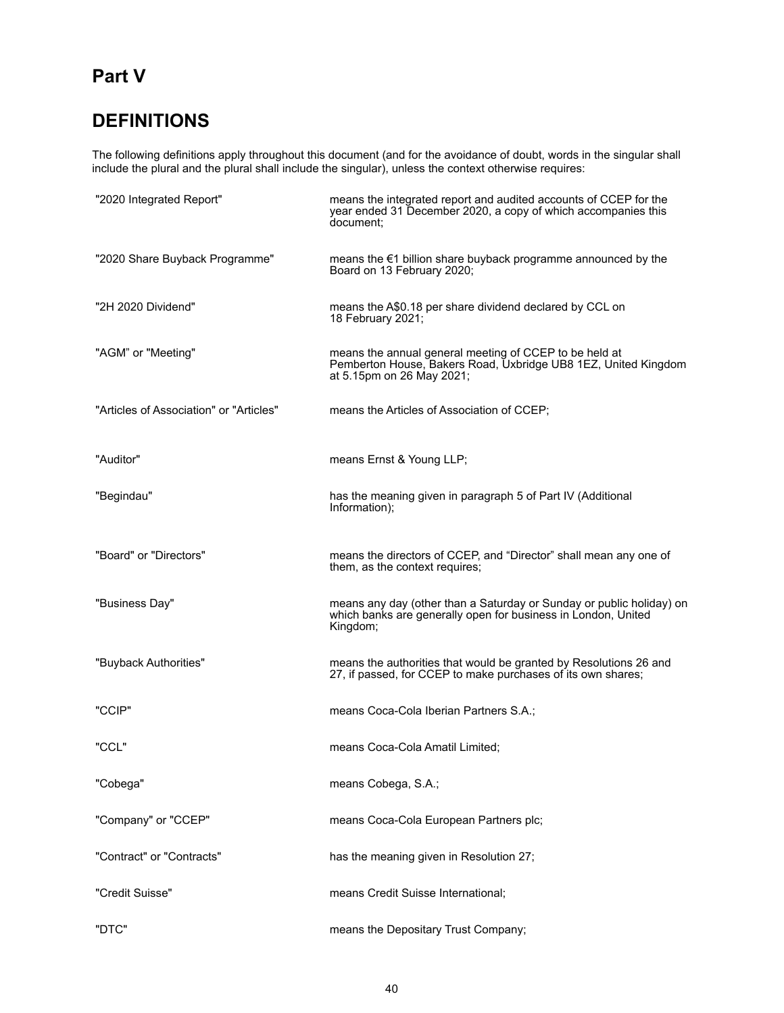# **Part V**

# **DEFINITIONS**

The following definitions apply throughout this document (and for the avoidance of doubt, words in the singular shall include the plural and the plural shall include the singular), unless the context otherwise requires:

| "2020 Integrated Report"                | means the integrated report and audited accounts of CCEP for the<br>year ended 31 December 2020, a copy of which accompanies this<br>document:        |
|-----------------------------------------|-------------------------------------------------------------------------------------------------------------------------------------------------------|
| "2020 Share Buyback Programme"          | means the €1 billion share buyback programme announced by the<br>Board on 13 February 2020;                                                           |
| "2H 2020 Dividend"                      | means the A\$0.18 per share dividend declared by CCL on<br>18 February 2021;                                                                          |
| "AGM" or "Meeting"                      | means the annual general meeting of CCEP to be held at<br>Pemberton House, Bakers Road, Uxbridge UB8 1EZ, United Kingdom<br>at 5.15pm on 26 May 2021; |
| "Articles of Association" or "Articles" | means the Articles of Association of CCEP;                                                                                                            |
| "Auditor"                               | means Ernst & Young LLP;                                                                                                                              |
| "Begindau"                              | has the meaning given in paragraph 5 of Part IV (Additional<br>Information);                                                                          |
| "Board" or "Directors"                  | means the directors of CCEP, and "Director" shall mean any one of<br>them, as the context requires;                                                   |
| "Business Day"                          | means any day (other than a Saturday or Sunday or public holiday) on<br>which banks are generally open for business in London, United<br>Kingdom;     |
| "Buyback Authorities"                   | means the authorities that would be granted by Resolutions 26 and<br>27, if passed, for CCEP to make purchases of its own shares;                     |
| "CCIP"                                  | means Coca-Cola Iberian Partners S.A.;                                                                                                                |
| "CCL"                                   | means Coca-Cola Amatil Limited:                                                                                                                       |
| "Cobega"                                | means Cobega, S.A.;                                                                                                                                   |
| "Company" or "CCEP"                     | means Coca-Cola European Partners plc;                                                                                                                |
| "Contract" or "Contracts"               | has the meaning given in Resolution 27;                                                                                                               |
| "Credit Suisse"                         | means Credit Suisse International;                                                                                                                    |
| "DTC"                                   | means the Depositary Trust Company;                                                                                                                   |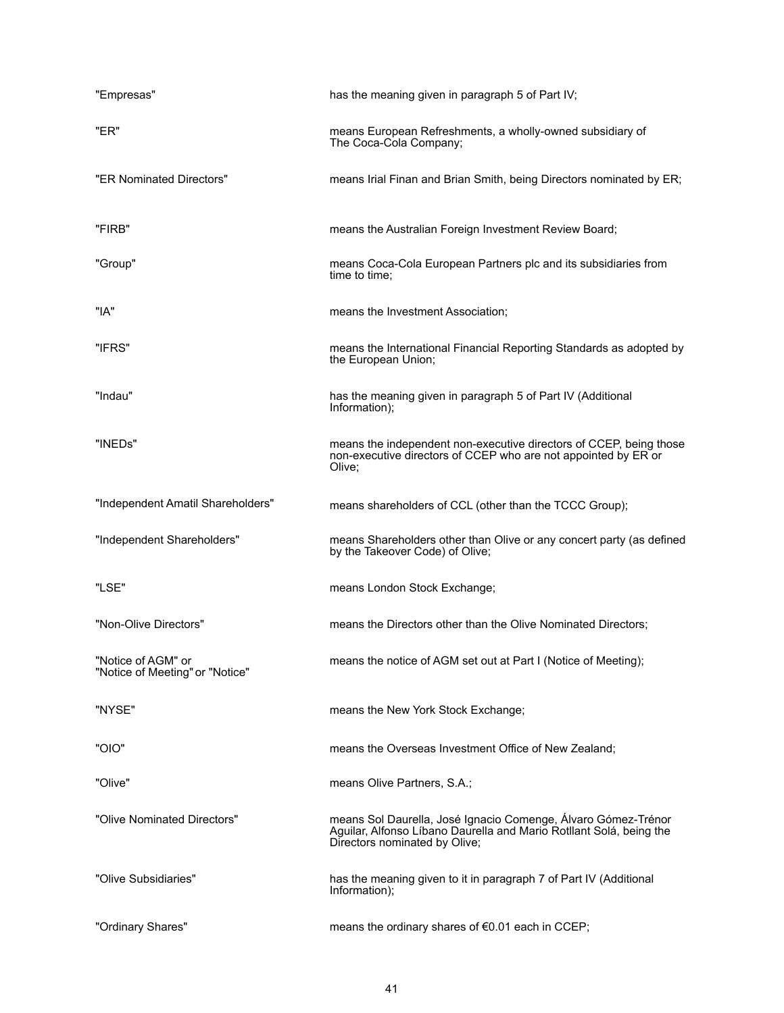| "Empresas"                                            | has the meaning given in paragraph 5 of Part IV;                                                                                                                      |
|-------------------------------------------------------|-----------------------------------------------------------------------------------------------------------------------------------------------------------------------|
| "ER"                                                  | means European Refreshments, a wholly-owned subsidiary of<br>The Coca-Cola Company;                                                                                   |
| "ER Nominated Directors"                              | means Irial Finan and Brian Smith, being Directors nominated by ER;                                                                                                   |
| "FIRB"                                                | means the Australian Foreign Investment Review Board;                                                                                                                 |
| "Group"                                               | means Coca-Cola European Partners plc and its subsidiaries from<br>time to time:                                                                                      |
| "IA"                                                  | means the Investment Association;                                                                                                                                     |
| "IFRS"                                                | means the International Financial Reporting Standards as adopted by<br>the European Union;                                                                            |
| "Indau"                                               | has the meaning given in paragraph 5 of Part IV (Additional<br>Information);                                                                                          |
| "INEDs"                                               | means the independent non-executive directors of CCEP, being those<br>non-executive directors of CCEP who are not appointed by ER or<br>Olive;                        |
| "Independent Amatil Shareholders"                     | means shareholders of CCL (other than the TCCC Group);                                                                                                                |
| "Independent Shareholders"                            | means Shareholders other than Olive or any concert party (as defined<br>by the Takeover Code) of Olive;                                                               |
| "LSE"                                                 | means London Stock Exchange;                                                                                                                                          |
| "Non-Olive Directors"                                 | means the Directors other than the Olive Nominated Directors;                                                                                                         |
| "Notice of AGM" or<br>"Notice of Meeting" or "Notice" | means the notice of AGM set out at Part I (Notice of Meeting);                                                                                                        |
| "NYSE"                                                | means the New York Stock Exchange;                                                                                                                                    |
| "OIO"                                                 | means the Overseas Investment Office of New Zealand;                                                                                                                  |
| "Olive"                                               | means Olive Partners, S.A.;                                                                                                                                           |
| "Olive Nominated Directors"                           | means Sol Daurella, José Ignacio Comenge, Álvaro Gómez-Trénor<br>Aguilar, Alfonso Líbano Daurella and Mario Rotllant Solá, being the<br>Directors nominated by Olive; |
| "Olive Subsidiaries"                                  | has the meaning given to it in paragraph 7 of Part IV (Additional<br>Information);                                                                                    |
| "Ordinary Shares"                                     | means the ordinary shares of €0.01 each in CCEP;                                                                                                                      |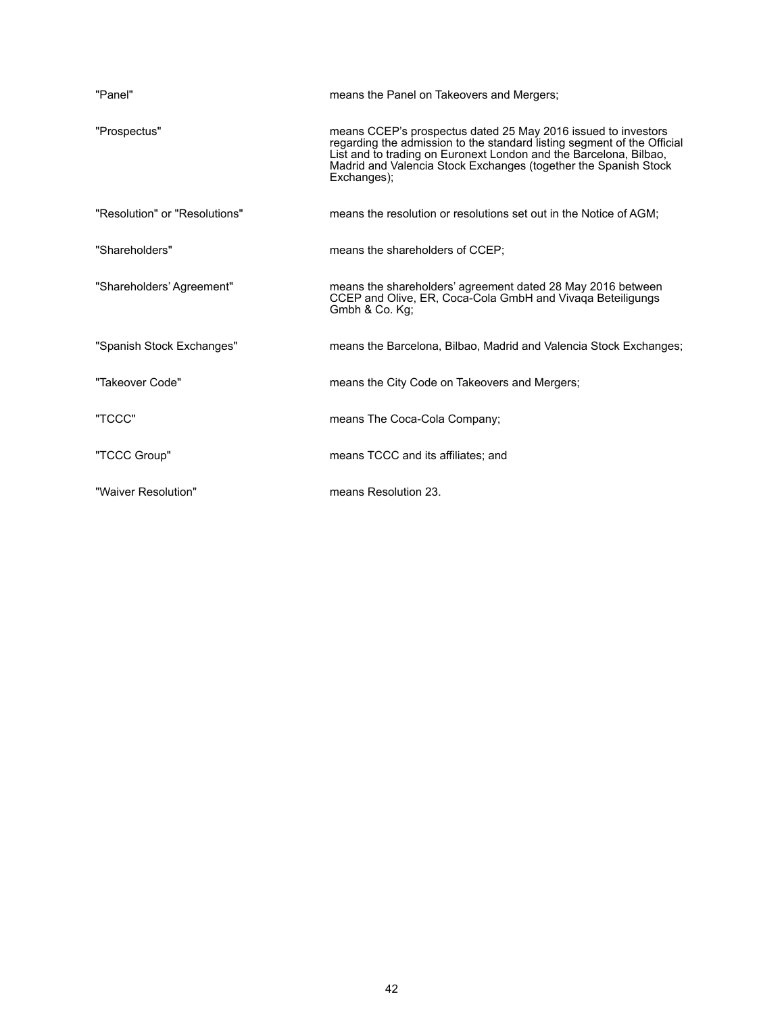| "Panel"                       | means the Panel on Takeovers and Mergers;                                                                                                                                                                                                                                                       |
|-------------------------------|-------------------------------------------------------------------------------------------------------------------------------------------------------------------------------------------------------------------------------------------------------------------------------------------------|
| "Prospectus"                  | means CCEP's prospectus dated 25 May 2016 issued to investors<br>regarding the admission to the standard listing segment of the Official<br>List and to trading on Euronext London and the Barcelona, Bilbao,<br>Madrid and Valencia Stock Exchanges (together the Spanish Stock<br>Exchanges); |
| "Resolution" or "Resolutions" | means the resolution or resolutions set out in the Notice of AGM;                                                                                                                                                                                                                               |
| "Shareholders"                | means the shareholders of CCEP;                                                                                                                                                                                                                                                                 |
| "Shareholders' Agreement"     | means the shareholders' agreement dated 28 May 2016 between<br>CCEP and Olive, ER, Coca-Cola GmbH and Vivaga Beteiligungs<br>Gmbh & Co. Kg;                                                                                                                                                     |
| "Spanish Stock Exchanges"     | means the Barcelona, Bilbao, Madrid and Valencia Stock Exchanges;                                                                                                                                                                                                                               |
| "Takeover Code"               | means the City Code on Takeovers and Mergers;                                                                                                                                                                                                                                                   |
| "TCCC"                        | means The Coca-Cola Company;                                                                                                                                                                                                                                                                    |
| "TCCC Group"                  | means TCCC and its affiliates; and                                                                                                                                                                                                                                                              |
| "Waiver Resolution"           | means Resolution 23.                                                                                                                                                                                                                                                                            |